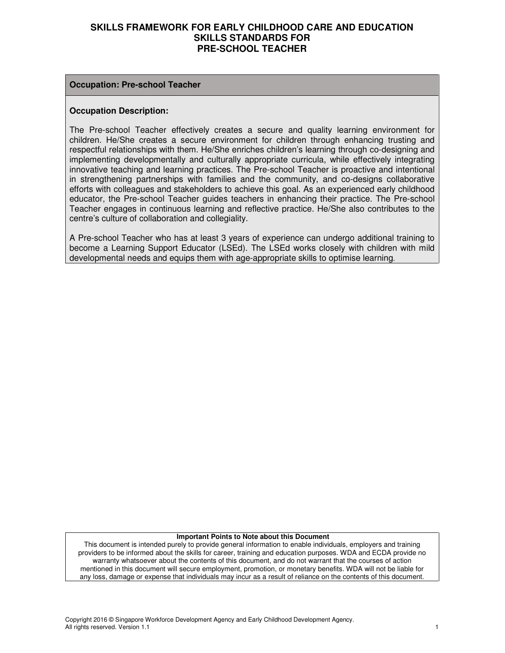#### **Occupation: Pre-school Teacher**

#### **Occupation Description:**

The Pre-school Teacher effectively creates a secure and quality learning environment for children. He/She creates a secure environment for children through enhancing trusting and respectful relationships with them. He/She enriches children's learning through co-designing and implementing developmentally and culturally appropriate curricula, while effectively integrating innovative teaching and learning practices. The Pre-school Teacher is proactive and intentional in strengthening partnerships with families and the community, and co-designs collaborative efforts with colleagues and stakeholders to achieve this goal. As an experienced early childhood educator, the Pre-school Teacher guides teachers in enhancing their practice. The Pre-school Teacher engages in continuous learning and reflective practice. He/She also contributes to the centre's culture of collaboration and collegiality.

A Pre-school Teacher who has at least 3 years of experience can undergo additional training to become a Learning Support Educator (LSEd). The LSEd works closely with children with mild developmental needs and equips them with age-appropriate skills to optimise learning.

#### **Important Points to Note about this Document**

This document is intended purely to provide general information to enable individuals, employers and training providers to be informed about the skills for career, training and education purposes. WDA and ECDA provide no warranty whatsoever about the contents of this document, and do not warrant that the courses of action mentioned in this document will secure employment, promotion, or monetary benefits. WDA will not be liable for any loss, damage or expense that individuals may incur as a result of reliance on the contents of this document.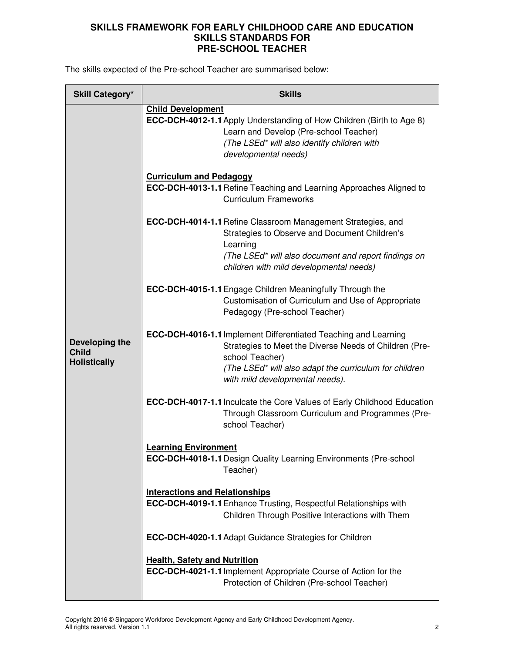The skills expected of the Pre-school Teacher are summarised below:

| <b>Skill Category*</b>                                | <b>Skills</b>                                                                                                                                                                                                                                        |  |  |
|-------------------------------------------------------|------------------------------------------------------------------------------------------------------------------------------------------------------------------------------------------------------------------------------------------------------|--|--|
|                                                       | <b>Child Development</b><br>ECC-DCH-4012-1.1 Apply Understanding of How Children (Birth to Age 8)<br>Learn and Develop (Pre-school Teacher)<br>(The LSEd* will also identify children with<br>developmental needs)<br><b>Curriculum and Pedagogy</b> |  |  |
|                                                       | <b>ECC-DCH-4013-1.1 Refine Teaching and Learning Approaches Aligned to</b><br><b>Curriculum Frameworks</b>                                                                                                                                           |  |  |
|                                                       | ECC-DCH-4014-1.1 Refine Classroom Management Strategies, and<br>Strategies to Observe and Document Children's<br>Learning<br>(The LSEd* will also document and report findings on<br>children with mild developmental needs)                         |  |  |
|                                                       | <b>ECC-DCH-4015-1.1 Engage Children Meaningfully Through the</b><br>Customisation of Curriculum and Use of Appropriate<br>Pedagogy (Pre-school Teacher)                                                                                              |  |  |
| Developing the<br><b>Child</b><br><b>Holistically</b> | <b>ECC-DCH-4016-1.1 Implement Differentiated Teaching and Learning</b><br>Strategies to Meet the Diverse Needs of Children (Pre-<br>school Teacher)<br>(The LSEd* will also adapt the curriculum for children<br>with mild developmental needs).     |  |  |
|                                                       | <b>ECC-DCH-4017-1.1 Inculcate the Core Values of Early Childhood Education</b><br>Through Classroom Curriculum and Programmes (Pre-<br>school Teacher)                                                                                               |  |  |
|                                                       | <b>Learning Environment</b><br><b>ECC-DCH-4018-1.1 Design Quality Learning Environments (Pre-school</b><br>Teacher)                                                                                                                                  |  |  |
|                                                       | <b>Interactions and Relationships</b><br>ECC-DCH-4019-1.1 Enhance Trusting, Respectful Relationships with<br>Children Through Positive Interactions with Them                                                                                        |  |  |
|                                                       | ECC-DCH-4020-1.1 Adapt Guidance Strategies for Children                                                                                                                                                                                              |  |  |
|                                                       | <b>Health, Safety and Nutrition</b><br><b>ECC-DCH-4021-1.1</b> Implement Appropriate Course of Action for the<br>Protection of Children (Pre-school Teacher)                                                                                         |  |  |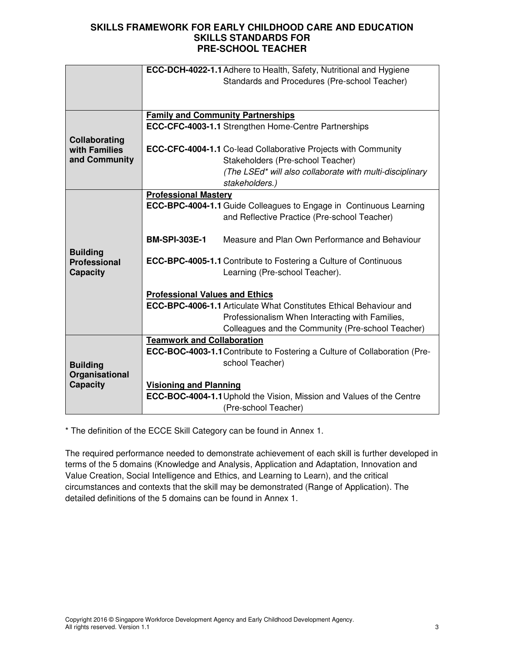|                     | <b>ECC-DCH-4022-1.1</b> Adhere to Health, Safety, Nutritional and Hygiene |                                                                             |  |
|---------------------|---------------------------------------------------------------------------|-----------------------------------------------------------------------------|--|
|                     |                                                                           | Standards and Procedures (Pre-school Teacher)                               |  |
|                     |                                                                           |                                                                             |  |
|                     |                                                                           |                                                                             |  |
|                     |                                                                           | <b>Family and Community Partnerships</b>                                    |  |
|                     |                                                                           | <b>ECC-CFC-4003-1.1 Strengthen Home-Centre Partnerships</b>                 |  |
| Collaborating       |                                                                           |                                                                             |  |
| with Families       |                                                                           | <b>ECC-CFC-4004-1.1 Co-lead Collaborative Projects with Community</b>       |  |
| and Community       |                                                                           | Stakeholders (Pre-school Teacher)                                           |  |
|                     |                                                                           | (The LSEd* will also collaborate with multi-disciplinary                    |  |
|                     |                                                                           | stakeholders.)                                                              |  |
|                     | <b>Professional Mastery</b>                                               |                                                                             |  |
|                     |                                                                           | <b>ECC-BPC-4004-1.1</b> Guide Colleagues to Engage in Continuous Learning   |  |
|                     |                                                                           | and Reflective Practice (Pre-school Teacher)                                |  |
|                     |                                                                           |                                                                             |  |
|                     | <b>BM-SPI-303E-1</b>                                                      | Measure and Plan Own Performance and Behaviour                              |  |
| <b>Building</b>     |                                                                           |                                                                             |  |
| <b>Professional</b> |                                                                           | <b>ECC-BPC-4005-1.1 Contribute to Fostering a Culture of Continuous</b>     |  |
| <b>Capacity</b>     |                                                                           | Learning (Pre-school Teacher).                                              |  |
|                     |                                                                           |                                                                             |  |
|                     | <b>Professional Values and Ethics</b>                                     |                                                                             |  |
|                     | <b>ECC-BPC-4006-1.1 Articulate What Constitutes Ethical Behaviour and</b> |                                                                             |  |
|                     |                                                                           | Professionalism When Interacting with Families,                             |  |
|                     |                                                                           | Colleagues and the Community (Pre-school Teacher)                           |  |
|                     | <b>Teamwork and Collaboration</b>                                         |                                                                             |  |
|                     |                                                                           | ECC-BOC-4003-1.1 Contribute to Fostering a Culture of Collaboration (Pre-   |  |
| <b>Building</b>     |                                                                           | school Teacher)                                                             |  |
| Organisational      |                                                                           |                                                                             |  |
| <b>Capacity</b>     | <b>Visioning and Planning</b>                                             |                                                                             |  |
|                     |                                                                           | <b>ECC-BOC-4004-1.1 Uphold the Vision, Mission and Values of the Centre</b> |  |
|                     |                                                                           | (Pre-school Teacher)                                                        |  |

\* The definition of the ECCE Skill Category can be found in Annex 1.

The required performance needed to demonstrate achievement of each skill is further developed in terms of the 5 domains (Knowledge and Analysis, Application and Adaptation, Innovation and Value Creation, Social Intelligence and Ethics, and Learning to Learn), and the critical circumstances and contexts that the skill may be demonstrated (Range of Application). The detailed definitions of the 5 domains can be found in Annex 1.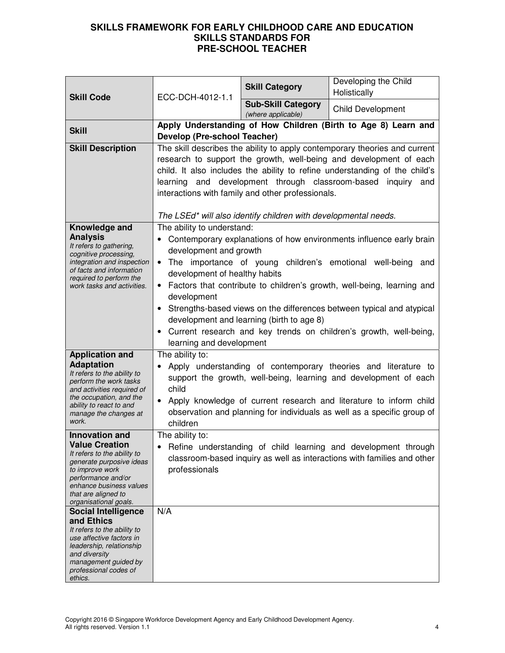| <b>Skill Code</b>                                                                                                                                                                                                             | ECC-DCH-4012-1.1                                                                                                                                                                                                                                                                                                                                                                                                                                                                                                                                                        | <b>Skill Category</b>                           | Developing the Child<br>Holistically                                                                                                                                                                                                                                                |
|-------------------------------------------------------------------------------------------------------------------------------------------------------------------------------------------------------------------------------|-------------------------------------------------------------------------------------------------------------------------------------------------------------------------------------------------------------------------------------------------------------------------------------------------------------------------------------------------------------------------------------------------------------------------------------------------------------------------------------------------------------------------------------------------------------------------|-------------------------------------------------|-------------------------------------------------------------------------------------------------------------------------------------------------------------------------------------------------------------------------------------------------------------------------------------|
|                                                                                                                                                                                                                               |                                                                                                                                                                                                                                                                                                                                                                                                                                                                                                                                                                         | <b>Sub-Skill Category</b><br>(where applicable) | <b>Child Development</b>                                                                                                                                                                                                                                                            |
| <b>Skill</b>                                                                                                                                                                                                                  | Develop (Pre-school Teacher)                                                                                                                                                                                                                                                                                                                                                                                                                                                                                                                                            |                                                 | Apply Understanding of How Children (Birth to Age 8) Learn and                                                                                                                                                                                                                      |
| <b>Skill Description</b>                                                                                                                                                                                                      | The skill describes the ability to apply contemporary theories and current<br>research to support the growth, well-being and development of each<br>child. It also includes the ability to refine understanding of the child's<br>learning and development through classroom-based inquiry and<br>interactions with family and other professionals.<br>The LSEd* will also identify children with developmental needs.                                                                                                                                                  |                                                 |                                                                                                                                                                                                                                                                                     |
| Knowledge and<br><b>Analysis</b><br>It refers to gathering,<br>cognitive processing,<br>integration and inspection<br>of facts and information<br>required to perform the<br>work tasks and activities.                       | The ability to understand:<br>Contemporary explanations of how environments influence early brain<br>development and growth<br>The importance of young children's emotional well-being and<br>$\bullet$<br>development of healthy habits<br>• Factors that contribute to children's growth, well-being, learning and<br>development<br>Strengths-based views on the differences between typical and atypical<br>$\bullet$<br>development and learning (birth to age 8)<br>Current research and key trends on children's growth, well-being,<br>learning and development |                                                 |                                                                                                                                                                                                                                                                                     |
| <b>Application and</b><br><b>Adaptation</b><br>It refers to the ability to<br>perform the work tasks<br>and activities required of<br>the occupation, and the<br>ability to react to and<br>manage the changes at<br>work.    | The ability to:<br>child<br>children                                                                                                                                                                                                                                                                                                                                                                                                                                                                                                                                    |                                                 | Apply understanding of contemporary theories and literature to<br>support the growth, well-being, learning and development of each<br>Apply knowledge of current research and literature to inform child<br>observation and planning for individuals as well as a specific group of |
| <b>Innovation and</b><br><b>Value Creation</b><br>It refers to the ability to<br>generate purposive ideas<br>to improve work<br>performance and/or<br>enhance business values<br>that are aligned to<br>organisational goals. | The ability to:<br>professionals                                                                                                                                                                                                                                                                                                                                                                                                                                                                                                                                        |                                                 | Refine understanding of child learning and development through<br>classroom-based inquiry as well as interactions with families and other                                                                                                                                           |
| <b>Social Intelligence</b><br>and Ethics<br>It refers to the ability to<br>use affective factors in<br>leadership, relationship<br>and diversity<br>management guided by<br>professional codes of<br>ethics.                  | N/A                                                                                                                                                                                                                                                                                                                                                                                                                                                                                                                                                                     |                                                 |                                                                                                                                                                                                                                                                                     |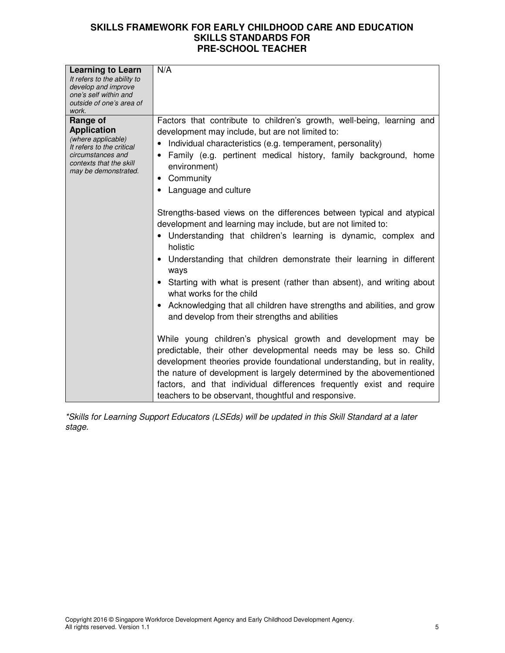| <b>Learning to Learn</b>                          | N/A                                                                      |
|---------------------------------------------------|--------------------------------------------------------------------------|
| It refers to the ability to                       |                                                                          |
| develop and improve                               |                                                                          |
| one's self within and<br>outside of one's area of |                                                                          |
| work.                                             |                                                                          |
| Range of                                          | Factors that contribute to children's growth, well-being, learning and   |
| <b>Application</b>                                | development may include, but are not limited to:                         |
| (where applicable)<br>It refers to the critical   | Individual characteristics (e.g. temperament, personality)               |
| circumstances and                                 | Family (e.g. pertinent medical history, family background, home          |
| contexts that the skill<br>may be demonstrated.   | environment)                                                             |
|                                                   | Community<br>$\bullet$                                                   |
|                                                   | Language and culture                                                     |
|                                                   |                                                                          |
|                                                   | Strengths-based views on the differences between typical and atypical    |
|                                                   | development and learning may include, but are not limited to:            |
|                                                   | Understanding that children's learning is dynamic, complex and           |
|                                                   | holistic                                                                 |
|                                                   | Understanding that children demonstrate their learning in different      |
|                                                   | ways                                                                     |
|                                                   | Starting with what is present (rather than absent), and writing about    |
|                                                   | what works for the child                                                 |
|                                                   | Acknowledging that all children have strengths and abilities, and grow   |
|                                                   | and develop from their strengths and abilities                           |
|                                                   |                                                                          |
|                                                   | While young children's physical growth and development may be            |
|                                                   | predictable, their other developmental needs may be less so. Child       |
|                                                   | development theories provide foundational understanding, but in reality, |
|                                                   | the nature of development is largely determined by the abovementioned    |
|                                                   | factors, and that individual differences frequently exist and require    |
|                                                   | teachers to be observant, thoughtful and responsive.                     |
|                                                   |                                                                          |

\*Skills for Learning Support Educators (LSEds) will be updated in this Skill Standard at a later stage.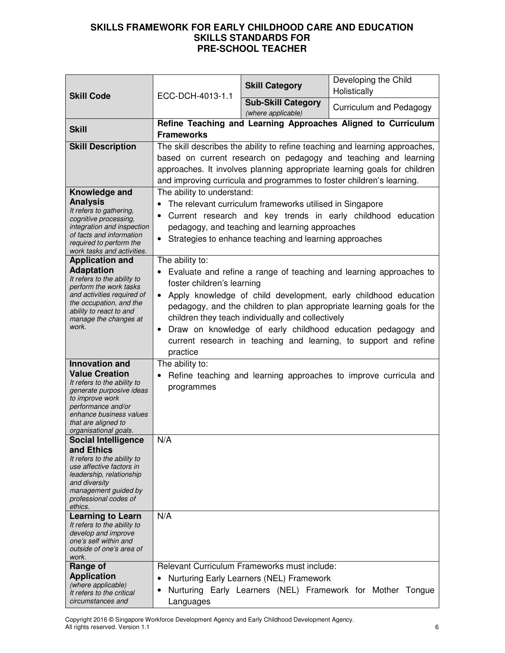| <b>Skill Code</b>                                                                                                                                                                                                                                                                                                                                                                                                                  | ECC-DCH-4013-1.1                                                                                                                                                                                                                                                                                                                                                                                                                                                                                                                                                                                                                                                                                                                                                                              | <b>Skill Category</b>                                                                    | Developing the Child<br>Holistically                             |
|------------------------------------------------------------------------------------------------------------------------------------------------------------------------------------------------------------------------------------------------------------------------------------------------------------------------------------------------------------------------------------------------------------------------------------|-----------------------------------------------------------------------------------------------------------------------------------------------------------------------------------------------------------------------------------------------------------------------------------------------------------------------------------------------------------------------------------------------------------------------------------------------------------------------------------------------------------------------------------------------------------------------------------------------------------------------------------------------------------------------------------------------------------------------------------------------------------------------------------------------|------------------------------------------------------------------------------------------|------------------------------------------------------------------|
|                                                                                                                                                                                                                                                                                                                                                                                                                                    |                                                                                                                                                                                                                                                                                                                                                                                                                                                                                                                                                                                                                                                                                                                                                                                               | <b>Sub-Skill Category</b><br>(where applicable)                                          | Curriculum and Pedagogy                                          |
| <b>Skill</b>                                                                                                                                                                                                                                                                                                                                                                                                                       | <b>Frameworks</b>                                                                                                                                                                                                                                                                                                                                                                                                                                                                                                                                                                                                                                                                                                                                                                             |                                                                                          | Refine Teaching and Learning Approaches Aligned to Curriculum    |
| <b>Skill Description</b>                                                                                                                                                                                                                                                                                                                                                                                                           | The skill describes the ability to refine teaching and learning approaches,<br>based on current research on pedagogy and teaching and learning<br>approaches. It involves planning appropriate learning goals for children<br>and improving curricula and programmes to foster children's learning.                                                                                                                                                                                                                                                                                                                                                                                                                                                                                           |                                                                                          |                                                                  |
| Knowledge and<br><b>Analysis</b><br>It refers to gathering,<br>cognitive processing,<br>integration and inspection<br>of facts and information<br>required to perform the<br>work tasks and activities.                                                                                                                                                                                                                            | The ability to understand:<br>The relevant curriculum frameworks utilised in Singapore<br>$\bullet$<br>Current research and key trends in early childhood education<br>$\bullet$<br>pedagogy, and teaching and learning approaches<br>Strategies to enhance teaching and learning approaches<br>The ability to:<br>Evaluate and refine a range of teaching and learning approaches to<br>foster children's learning<br>Apply knowledge of child development, early childhood education<br>$\bullet$<br>pedagogy, and the children to plan appropriate learning goals for the<br>children they teach individually and collectively<br>Draw on knowledge of early childhood education pedagogy and<br>$\bullet$<br>current research in teaching and learning, to support and refine<br>practice |                                                                                          |                                                                  |
| <b>Application and</b><br><b>Adaptation</b><br>It refers to the ability to<br>perform the work tasks<br>and activities required of<br>the occupation, and the<br>ability to react to and<br>manage the changes at<br>work.                                                                                                                                                                                                         |                                                                                                                                                                                                                                                                                                                                                                                                                                                                                                                                                                                                                                                                                                                                                                                               |                                                                                          |                                                                  |
| <b>Innovation and</b><br><b>Value Creation</b><br>It refers to the ability to<br>generate purposive ideas<br>to improve work<br>performance and/or<br>enhance business values<br>that are aligned to<br>organisational goals.<br><b>Social Intelligence</b><br>and Ethics<br>It refers to the ability to<br>use affective factors in<br>leadership, relationship<br>and diversity<br>management guided by<br>professional codes of | The ability to:<br>programmes<br>N/A                                                                                                                                                                                                                                                                                                                                                                                                                                                                                                                                                                                                                                                                                                                                                          |                                                                                          | Refine teaching and learning approaches to improve curricula and |
| ethics.<br>Learning to Learn<br>It refers to the ability to<br>develop and improve<br>one's self within and<br>outside of one's area of<br>work.                                                                                                                                                                                                                                                                                   | N/A                                                                                                                                                                                                                                                                                                                                                                                                                                                                                                                                                                                                                                                                                                                                                                                           |                                                                                          |                                                                  |
| Range of<br><b>Application</b><br>(where applicable)<br>It refers to the critical<br>circumstances and                                                                                                                                                                                                                                                                                                                             | ٠<br>Languages                                                                                                                                                                                                                                                                                                                                                                                                                                                                                                                                                                                                                                                                                                                                                                                | Relevant Curriculum Frameworks must include:<br>Nurturing Early Learners (NEL) Framework | Nurturing Early Learners (NEL) Framework for Mother Tongue       |

Copyright 2016 © Singapore Workforce Development Agency and Early Childhood Development Agency. All rights reserved. Version 1.1 6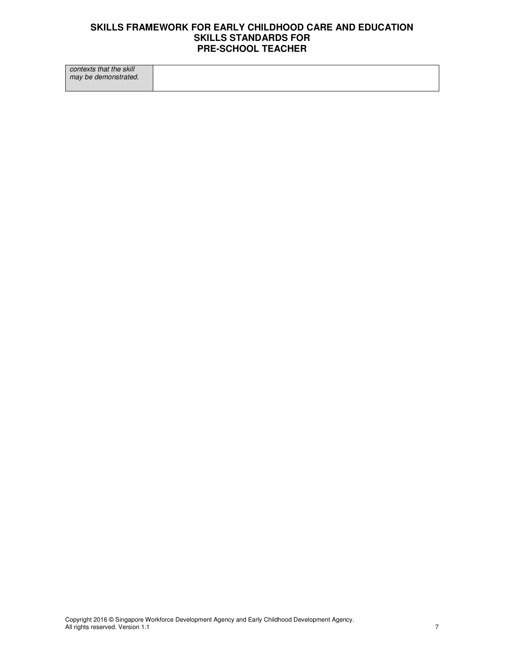contexts that the skill may be demonstrated.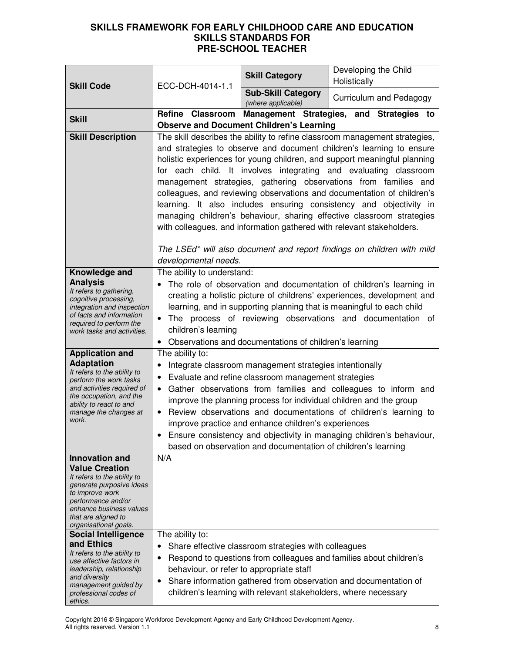| <b>Skill Code</b>                                                                                                                                                                                       | ECC-DCH-4014-1.1                                                                                                                                                                                                                                                                                                                                                                                                                                                                                                                                                                                                                                                                                                                                  | <b>Skill Category</b>                                                                                                                                                                                                                  | Developing the Child<br>Holistically                                                                                                                                                                                                                                             |
|---------------------------------------------------------------------------------------------------------------------------------------------------------------------------------------------------------|---------------------------------------------------------------------------------------------------------------------------------------------------------------------------------------------------------------------------------------------------------------------------------------------------------------------------------------------------------------------------------------------------------------------------------------------------------------------------------------------------------------------------------------------------------------------------------------------------------------------------------------------------------------------------------------------------------------------------------------------------|----------------------------------------------------------------------------------------------------------------------------------------------------------------------------------------------------------------------------------------|----------------------------------------------------------------------------------------------------------------------------------------------------------------------------------------------------------------------------------------------------------------------------------|
|                                                                                                                                                                                                         |                                                                                                                                                                                                                                                                                                                                                                                                                                                                                                                                                                                                                                                                                                                                                   | <b>Sub-Skill Category</b>                                                                                                                                                                                                              |                                                                                                                                                                                                                                                                                  |
|                                                                                                                                                                                                         |                                                                                                                                                                                                                                                                                                                                                                                                                                                                                                                                                                                                                                                                                                                                                   | (where applicable)                                                                                                                                                                                                                     | Curriculum and Pedagogy                                                                                                                                                                                                                                                          |
| <b>Skill</b>                                                                                                                                                                                            | Refine Classroom                                                                                                                                                                                                                                                                                                                                                                                                                                                                                                                                                                                                                                                                                                                                  | <b>Observe and Document Children's Learning</b>                                                                                                                                                                                        | Management Strategies, and Strategies to                                                                                                                                                                                                                                         |
| <b>Skill Description</b>                                                                                                                                                                                |                                                                                                                                                                                                                                                                                                                                                                                                                                                                                                                                                                                                                                                                                                                                                   |                                                                                                                                                                                                                                        |                                                                                                                                                                                                                                                                                  |
|                                                                                                                                                                                                         | The skill describes the ability to refine classroom management strategies,<br>and strategies to observe and document children's learning to ensure<br>holistic experiences for young children, and support meaningful planning<br>for each child. It involves integrating and evaluating classroom<br>management strategies, gathering observations from families and<br>colleagues, and reviewing observations and documentation of children's<br>learning. It also includes ensuring consistency and objectivity in<br>managing children's behaviour, sharing effective classroom strategies<br>with colleagues, and information gathered with relevant stakeholders.<br>The LSEd* will also document and report findings on children with mild |                                                                                                                                                                                                                                        |                                                                                                                                                                                                                                                                                  |
|                                                                                                                                                                                                         | developmental needs.                                                                                                                                                                                                                                                                                                                                                                                                                                                                                                                                                                                                                                                                                                                              |                                                                                                                                                                                                                                        |                                                                                                                                                                                                                                                                                  |
| Knowledge and<br><b>Analysis</b><br>It refers to gathering,<br>cognitive processing,<br>integration and inspection<br>of facts and information<br>required to perform the<br>work tasks and activities. | The ability to understand:<br>The role of observation and documentation of children's learning in<br>$\bullet$<br>creating a holistic picture of childrens' experiences, development and<br>learning, and in supporting planning that is meaningful to each child<br>The process of reviewing observations and documentation of<br>$\bullet$<br>children's learning<br>Observations and documentations of children's learning                                                                                                                                                                                                                                                                                                                     |                                                                                                                                                                                                                                        |                                                                                                                                                                                                                                                                                  |
| <b>Application and</b>                                                                                                                                                                                  | The ability to:                                                                                                                                                                                                                                                                                                                                                                                                                                                                                                                                                                                                                                                                                                                                   |                                                                                                                                                                                                                                        |                                                                                                                                                                                                                                                                                  |
| <b>Adaptation</b><br>It refers to the ability to<br>perform the work tasks<br>and activities required of<br>the occupation, and the<br>ability to react to and<br>manage the changes at<br>work.        | $\bullet$<br>$\bullet$<br>$\bullet$                                                                                                                                                                                                                                                                                                                                                                                                                                                                                                                                                                                                                                                                                                               | Integrate classroom management strategies intentionally<br>Evaluate and refine classroom management strategies<br>improve practice and enhance children's experiences<br>based on observation and documentation of children's learning | Gather observations from families and colleagues to inform and<br>improve the planning process for individual children and the group<br>Review observations and documentations of children's learning to<br>Ensure consistency and objectivity in managing children's behaviour, |
| <b>Innovation and</b>                                                                                                                                                                                   | N/A                                                                                                                                                                                                                                                                                                                                                                                                                                                                                                                                                                                                                                                                                                                                               |                                                                                                                                                                                                                                        |                                                                                                                                                                                                                                                                                  |
| <b>Value Creation</b><br>It refers to the ability to<br>generate purposive ideas<br>to improve work<br>performance and/or<br>enhance business values<br>that are aligned to<br>organisational goals.    |                                                                                                                                                                                                                                                                                                                                                                                                                                                                                                                                                                                                                                                                                                                                                   |                                                                                                                                                                                                                                        |                                                                                                                                                                                                                                                                                  |
| <b>Social Intelligence</b>                                                                                                                                                                              | The ability to:                                                                                                                                                                                                                                                                                                                                                                                                                                                                                                                                                                                                                                                                                                                                   |                                                                                                                                                                                                                                        |                                                                                                                                                                                                                                                                                  |
| and Ethics<br>It refers to the ability to<br>use affective factors in<br>leadership, relationship<br>and diversity<br>management guided by<br>professional codes of<br>ethics.                          | $\bullet$<br>٠<br>behaviour, or refer to appropriate staff<br>$\bullet$                                                                                                                                                                                                                                                                                                                                                                                                                                                                                                                                                                                                                                                                           | Share effective classroom strategies with colleagues<br>children's learning with relevant stakeholders, where necessary                                                                                                                | Respond to questions from colleagues and families about children's<br>Share information gathered from observation and documentation of                                                                                                                                           |

Copyright 2016 © Singapore Workforce Development Agency and Early Childhood Development Agency. All rights reserved. Version 1.1 8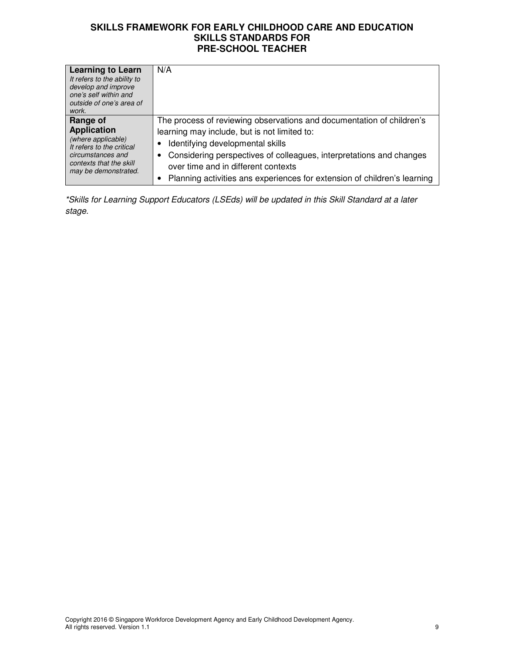| <b>Learning to Learn</b><br>It refers to the ability to<br>develop and improve<br>one's self within and<br>outside of one's area of<br>work.              | N/A                                                                                                                                                                                                                                                                                                                                                 |
|-----------------------------------------------------------------------------------------------------------------------------------------------------------|-----------------------------------------------------------------------------------------------------------------------------------------------------------------------------------------------------------------------------------------------------------------------------------------------------------------------------------------------------|
| Range of<br><b>Application</b><br>(where applicable)<br>It refers to the critical<br>circumstances and<br>contexts that the skill<br>may be demonstrated. | The process of reviewing observations and documentation of children's<br>learning may include, but is not limited to:<br>Identifying developmental skills<br>Considering perspectives of colleagues, interpretations and changes<br>over time and in different contexts<br>Planning activities ans experiences for extension of children's learning |

\*Skills for Learning Support Educators (LSEds) will be updated in this Skill Standard at a later stage.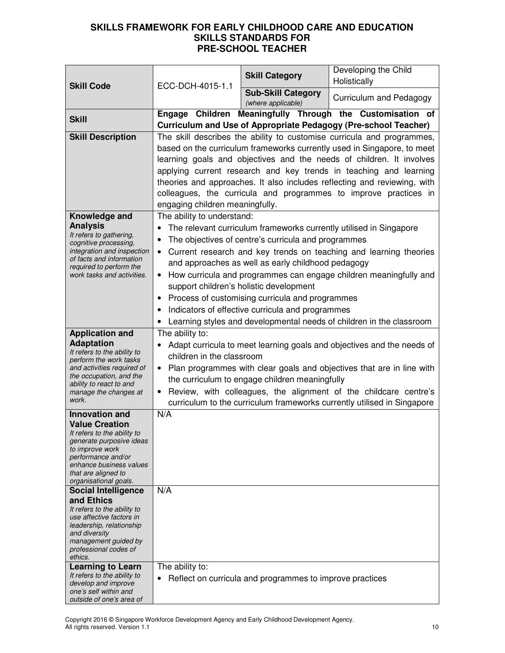|                                                                                                                                            |                                                                                                                                              | <b>Skill Category</b>                                    | Developing the Child<br>Holistically                                   |
|--------------------------------------------------------------------------------------------------------------------------------------------|----------------------------------------------------------------------------------------------------------------------------------------------|----------------------------------------------------------|------------------------------------------------------------------------|
| <b>Skill Code</b>                                                                                                                          | ECC-DCH-4015-1.1                                                                                                                             | <b>Sub-Skill Category</b>                                | Curriculum and Pedagogy                                                |
|                                                                                                                                            | Engage Children                                                                                                                              | (where applicable)                                       | Meaningfully Through the Customisation of                              |
| <b>Skill</b>                                                                                                                               |                                                                                                                                              |                                                          | <b>Curriculum and Use of Appropriate Pedagogy (Pre-school Teacher)</b> |
| <b>Skill Description</b>                                                                                                                   |                                                                                                                                              |                                                          | The skill describes the ability to customise curricula and programmes, |
|                                                                                                                                            | based on the curriculum frameworks currently used in Singapore, to meet                                                                      |                                                          |                                                                        |
|                                                                                                                                            | learning goals and objectives and the needs of children. It involves<br>applying current research and key trends in teaching and learning    |                                                          |                                                                        |
|                                                                                                                                            |                                                                                                                                              |                                                          |                                                                        |
|                                                                                                                                            | theories and approaches. It also includes reflecting and reviewing, with<br>colleagues, the curricula and programmes to improve practices in |                                                          |                                                                        |
|                                                                                                                                            | engaging children meaningfully.                                                                                                              |                                                          |                                                                        |
| Knowledge and                                                                                                                              | The ability to understand:                                                                                                                   |                                                          |                                                                        |
| <b>Analysis</b>                                                                                                                            | $\bullet$                                                                                                                                    |                                                          | The relevant curriculum frameworks currently utilised in Singapore     |
| It refers to gathering,<br>cognitive processing,                                                                                           | $\bullet$                                                                                                                                    | The objectives of centre's curricula and programmes      |                                                                        |
| integration and inspection                                                                                                                 | $\bullet$                                                                                                                                    |                                                          | Current research and key trends on teaching and learning theories      |
| of facts and information<br>required to perform the                                                                                        |                                                                                                                                              | and approaches as well as early childhood pedagogy       |                                                                        |
| work tasks and activities.                                                                                                                 | $\bullet$                                                                                                                                    |                                                          | How curricula and programmes can engage children meaningfully and      |
|                                                                                                                                            |                                                                                                                                              | support children's holistic development                  |                                                                        |
|                                                                                                                                            | ٠                                                                                                                                            | Process of customising curricula and programmes          |                                                                        |
|                                                                                                                                            | Indicators of effective curricula and programmes<br>$\bullet$                                                                                |                                                          |                                                                        |
| <b>Application and</b>                                                                                                                     | Learning styles and developmental needs of children in the classroom<br>The ability to:                                                      |                                                          |                                                                        |
| <b>Adaptation</b>                                                                                                                          | Adapt curricula to meet learning goals and objectives and the needs of                                                                       |                                                          |                                                                        |
| It refers to the ability to                                                                                                                | children in the classroom                                                                                                                    |                                                          |                                                                        |
| perform the work tasks<br>Plan programmes with clear goals and objectives that are in line with<br>and activities required of<br>$\bullet$ |                                                                                                                                              |                                                          |                                                                        |
| the occupation, and the<br>ability to react to and                                                                                         |                                                                                                                                              | the curriculum to engage children meaningfully           |                                                                        |
| manage the changes at                                                                                                                      |                                                                                                                                              |                                                          | Review, with colleagues, the alignment of the childcare centre's       |
| work.<br>curriculum to the curriculum frameworks currently utilised in Singapore                                                           |                                                                                                                                              |                                                          |                                                                        |
| <b>Innovation and</b><br><b>Value Creation</b>                                                                                             | N/A                                                                                                                                          |                                                          |                                                                        |
| It refers to the ability to                                                                                                                |                                                                                                                                              |                                                          |                                                                        |
| generate purposive ideas<br>to improve work                                                                                                |                                                                                                                                              |                                                          |                                                                        |
| performance and/or                                                                                                                         |                                                                                                                                              |                                                          |                                                                        |
| enhance business values<br>that are aligned to                                                                                             |                                                                                                                                              |                                                          |                                                                        |
| organisational goals.                                                                                                                      |                                                                                                                                              |                                                          |                                                                        |
| <b>Social Intelligence</b><br>and Ethics                                                                                                   | N/A                                                                                                                                          |                                                          |                                                                        |
| It refers to the ability to                                                                                                                |                                                                                                                                              |                                                          |                                                                        |
| use affective factors in<br>leadership, relationship                                                                                       |                                                                                                                                              |                                                          |                                                                        |
| and diversity<br>management guided by                                                                                                      |                                                                                                                                              |                                                          |                                                                        |
| professional codes of                                                                                                                      |                                                                                                                                              |                                                          |                                                                        |
| ethics.<br><b>Learning to Learn</b>                                                                                                        | The ability to:                                                                                                                              |                                                          |                                                                        |
| It refers to the ability to                                                                                                                |                                                                                                                                              | Reflect on curricula and programmes to improve practices |                                                                        |
| develop and improve<br>one's self within and                                                                                               |                                                                                                                                              |                                                          |                                                                        |
| outside of one's area of                                                                                                                   |                                                                                                                                              |                                                          |                                                                        |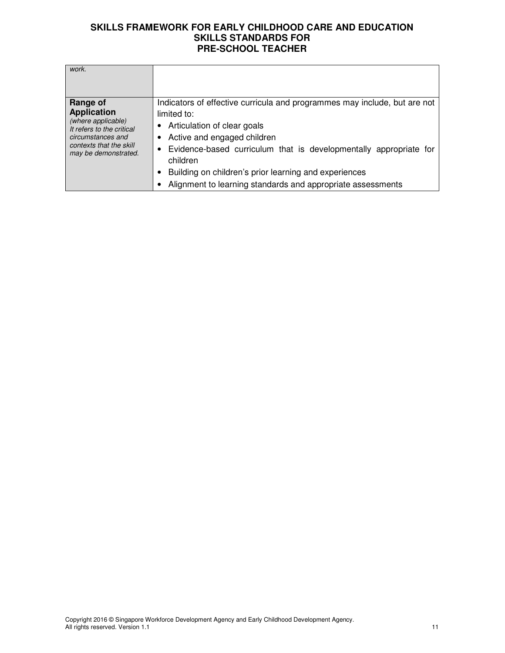| work.                                                                                                                                                     |                                                                                                                                                                                                                                                                                                                                                                      |
|-----------------------------------------------------------------------------------------------------------------------------------------------------------|----------------------------------------------------------------------------------------------------------------------------------------------------------------------------------------------------------------------------------------------------------------------------------------------------------------------------------------------------------------------|
| Range of<br><b>Application</b><br>(where applicable)<br>It refers to the critical<br>circumstances and<br>contexts that the skill<br>may be demonstrated. | Indicators of effective curricula and programmes may include, but are not<br>limited to:<br>Articulation of clear goals<br>Active and engaged children<br>Evidence-based curriculum that is developmentally appropriate for<br>٠<br>children<br>Building on children's prior learning and experiences<br>Alignment to learning standards and appropriate assessments |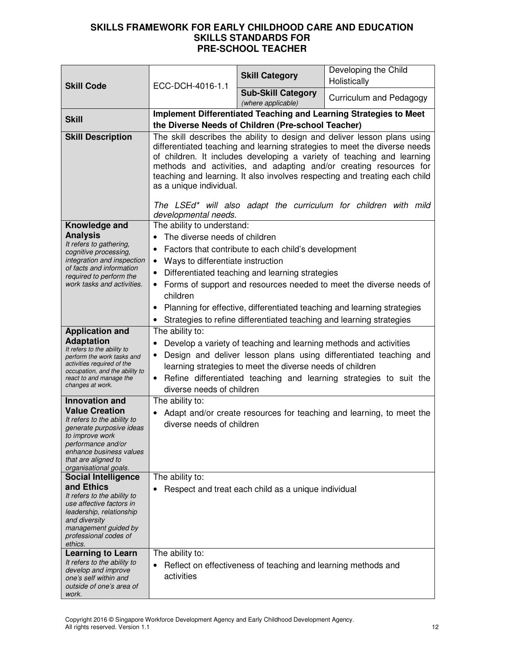|                                                                                                                                              |                                                                                                                                                                                                                                                                                                                                                                                                                                                                                                           | <b>Skill Category</b>                                         | Developing the Child                                                    |
|----------------------------------------------------------------------------------------------------------------------------------------------|-----------------------------------------------------------------------------------------------------------------------------------------------------------------------------------------------------------------------------------------------------------------------------------------------------------------------------------------------------------------------------------------------------------------------------------------------------------------------------------------------------------|---------------------------------------------------------------|-------------------------------------------------------------------------|
| <b>Skill Code</b>                                                                                                                            | ECC-DCH-4016-1.1                                                                                                                                                                                                                                                                                                                                                                                                                                                                                          |                                                               | Holistically                                                            |
|                                                                                                                                              |                                                                                                                                                                                                                                                                                                                                                                                                                                                                                                           | <b>Sub-Skill Category</b><br>(where applicable)               | Curriculum and Pedagogy                                                 |
| <b>Skill</b>                                                                                                                                 | Implement Differentiated Teaching and Learning Strategies to Meet                                                                                                                                                                                                                                                                                                                                                                                                                                         |                                                               |                                                                         |
|                                                                                                                                              |                                                                                                                                                                                                                                                                                                                                                                                                                                                                                                           | the Diverse Needs of Children (Pre-school Teacher)            |                                                                         |
| <b>Skill Description</b>                                                                                                                     | The skill describes the ability to design and deliver lesson plans using<br>differentiated teaching and learning strategies to meet the diverse needs<br>of children. It includes developing a variety of teaching and learning<br>methods and activities, and adapting and/or creating resources for<br>teaching and learning. It also involves respecting and treating each child<br>as a unique individual.<br>The LSEd* will also adapt the curriculum for children with mild<br>developmental needs. |                                                               |                                                                         |
| Knowledge and                                                                                                                                | The ability to understand:                                                                                                                                                                                                                                                                                                                                                                                                                                                                                |                                                               |                                                                         |
| <b>Analysis</b>                                                                                                                              | The diverse needs of children                                                                                                                                                                                                                                                                                                                                                                                                                                                                             |                                                               |                                                                         |
| It refers to gathering,<br>cognitive processing,                                                                                             | $\bullet$                                                                                                                                                                                                                                                                                                                                                                                                                                                                                                 | Factors that contribute to each child's development           |                                                                         |
| integration and inspection                                                                                                                   | • Ways to differentiate instruction                                                                                                                                                                                                                                                                                                                                                                                                                                                                       |                                                               |                                                                         |
| of facts and information<br>required to perform the                                                                                          | ٠                                                                                                                                                                                                                                                                                                                                                                                                                                                                                                         | Differentiated teaching and learning strategies               |                                                                         |
| work tasks and activities.                                                                                                                   | $\bullet$                                                                                                                                                                                                                                                                                                                                                                                                                                                                                                 |                                                               | Forms of support and resources needed to meet the diverse needs of      |
| children                                                                                                                                     |                                                                                                                                                                                                                                                                                                                                                                                                                                                                                                           |                                                               |                                                                         |
|                                                                                                                                              |                                                                                                                                                                                                                                                                                                                                                                                                                                                                                                           |                                                               | Planning for effective, differentiated teaching and learning strategies |
|                                                                                                                                              | Strategies to refine differentiated teaching and learning strategies                                                                                                                                                                                                                                                                                                                                                                                                                                      |                                                               |                                                                         |
| <b>Application and</b><br><b>Adaptation</b>                                                                                                  | The ability to:                                                                                                                                                                                                                                                                                                                                                                                                                                                                                           |                                                               |                                                                         |
| It refers to the ability to                                                                                                                  | Develop a variety of teaching and learning methods and activities                                                                                                                                                                                                                                                                                                                                                                                                                                         |                                                               |                                                                         |
| perform the work tasks and<br>activities required of the                                                                                     | Design and deliver lesson plans using differentiated teaching and<br>learning strategies to meet the diverse needs of children                                                                                                                                                                                                                                                                                                                                                                            |                                                               |                                                                         |
| occupation, and the ability to<br>Refine differentiated teaching and learning strategies to suit the<br>react to and manage the<br>$\bullet$ |                                                                                                                                                                                                                                                                                                                                                                                                                                                                                                           |                                                               |                                                                         |
| changes at work.                                                                                                                             | diverse needs of children                                                                                                                                                                                                                                                                                                                                                                                                                                                                                 |                                                               |                                                                         |
| <b>Innovation and</b><br><b>Value Creation</b>                                                                                               | The ability to:                                                                                                                                                                                                                                                                                                                                                                                                                                                                                           |                                                               |                                                                         |
| It refers to the ability to                                                                                                                  | diverse needs of children                                                                                                                                                                                                                                                                                                                                                                                                                                                                                 |                                                               | Adapt and/or create resources for teaching and learning, to meet the    |
| generate purposive ideas                                                                                                                     |                                                                                                                                                                                                                                                                                                                                                                                                                                                                                                           |                                                               |                                                                         |
| to improve work<br>performance and/or                                                                                                        |                                                                                                                                                                                                                                                                                                                                                                                                                                                                                                           |                                                               |                                                                         |
| enhance business values<br>that are aligned to                                                                                               |                                                                                                                                                                                                                                                                                                                                                                                                                                                                                                           |                                                               |                                                                         |
| organisational goals.                                                                                                                        |                                                                                                                                                                                                                                                                                                                                                                                                                                                                                                           |                                                               |                                                                         |
| <b>Social Intelligence</b>                                                                                                                   | The ability to:                                                                                                                                                                                                                                                                                                                                                                                                                                                                                           |                                                               |                                                                         |
| and Ethics<br>It refers to the ability to                                                                                                    |                                                                                                                                                                                                                                                                                                                                                                                                                                                                                                           | Respect and treat each child as a unique individual           |                                                                         |
| use affective factors in                                                                                                                     |                                                                                                                                                                                                                                                                                                                                                                                                                                                                                                           |                                                               |                                                                         |
| leadership, relationship<br>and diversity                                                                                                    |                                                                                                                                                                                                                                                                                                                                                                                                                                                                                                           |                                                               |                                                                         |
| management guided by                                                                                                                         |                                                                                                                                                                                                                                                                                                                                                                                                                                                                                                           |                                                               |                                                                         |
| professional codes of<br>ethics.                                                                                                             |                                                                                                                                                                                                                                                                                                                                                                                                                                                                                                           |                                                               |                                                                         |
| <b>Learning to Learn</b>                                                                                                                     | The ability to:                                                                                                                                                                                                                                                                                                                                                                                                                                                                                           |                                                               |                                                                         |
| It refers to the ability to<br>develop and improve                                                                                           |                                                                                                                                                                                                                                                                                                                                                                                                                                                                                                           | Reflect on effectiveness of teaching and learning methods and |                                                                         |
| one's self within and                                                                                                                        | activities                                                                                                                                                                                                                                                                                                                                                                                                                                                                                                |                                                               |                                                                         |
| outside of one's area of<br>work.                                                                                                            |                                                                                                                                                                                                                                                                                                                                                                                                                                                                                                           |                                                               |                                                                         |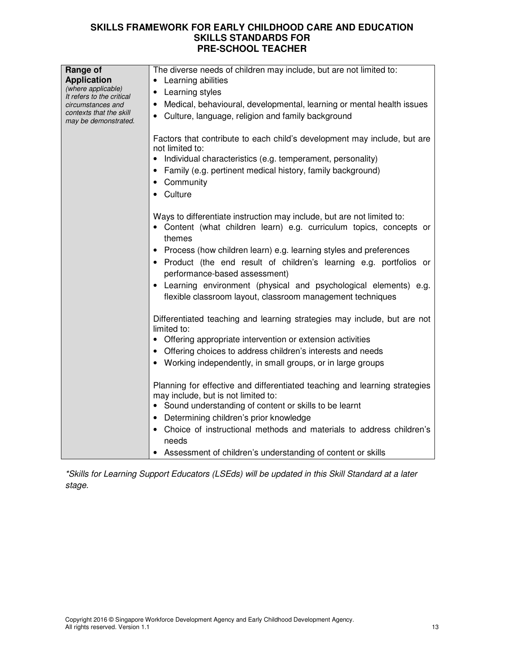| Range of<br><b>Application</b><br>(where applicable)<br>It refers to the critical<br>circumstances and<br>contexts that the skill<br>may be demonstrated. | The diverse needs of children may include, but are not limited to:<br>• Learning abilities<br>• Learning styles<br>Medical, behavioural, developmental, learning or mental health issues<br>$\bullet$<br>Culture, language, religion and family background                                                                                                                                                                                                                                                       |
|-----------------------------------------------------------------------------------------------------------------------------------------------------------|------------------------------------------------------------------------------------------------------------------------------------------------------------------------------------------------------------------------------------------------------------------------------------------------------------------------------------------------------------------------------------------------------------------------------------------------------------------------------------------------------------------|
|                                                                                                                                                           | Factors that contribute to each child's development may include, but are<br>not limited to:<br>Individual characteristics (e.g. temperament, personality)<br>Family (e.g. pertinent medical history, family background)<br>Community<br>Culture                                                                                                                                                                                                                                                                  |
|                                                                                                                                                           | Ways to differentiate instruction may include, but are not limited to:<br>• Content (what children learn) e.g. curriculum topics, concepts or<br>themes<br>Process (how children learn) e.g. learning styles and preferences<br>• Product (the end result of children's learning e.g. portfolios or<br>performance-based assessment)<br>• Learning environment (physical and psychological elements) e.g.<br>flexible classroom layout, classroom management techniques                                          |
|                                                                                                                                                           | Differentiated teaching and learning strategies may include, but are not<br>limited to:<br>• Offering appropriate intervention or extension activities<br>• Offering choices to address children's interests and needs<br>• Working independently, in small groups, or in large groups<br>Planning for effective and differentiated teaching and learning strategies<br>may include, but is not limited to:<br>• Sound understanding of content or skills to be learnt<br>Determining children's prior knowledge |
|                                                                                                                                                           | • Choice of instructional methods and materials to address children's<br>needs<br>Assessment of children's understanding of content or skills                                                                                                                                                                                                                                                                                                                                                                    |

\*Skills for Learning Support Educators (LSEds) will be updated in this Skill Standard at a later stage.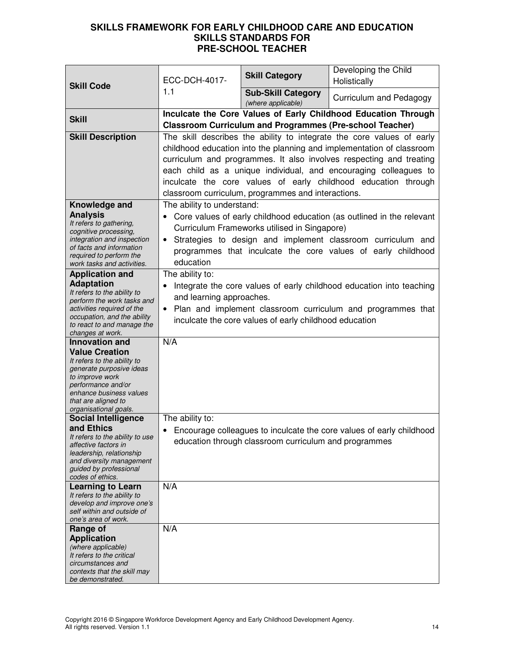|                                                           | ECC-DCH-4017-                                               | <b>Skill Category</b>                                           | Developing the Child<br>Holistically                                  |  |
|-----------------------------------------------------------|-------------------------------------------------------------|-----------------------------------------------------------------|-----------------------------------------------------------------------|--|
| <b>Skill Code</b>                                         | 1.1                                                         | <b>Sub-Skill Category</b>                                       | Curriculum and Pedagogy                                               |  |
|                                                           |                                                             | (where applicable)                                              | Inculcate the Core Values of Early Childhood Education Through        |  |
| <b>Skill</b>                                              |                                                             | <b>Classroom Curriculum and Programmes (Pre-school Teacher)</b> |                                                                       |  |
| <b>Skill Description</b>                                  |                                                             |                                                                 | The skill describes the ability to integrate the core values of early |  |
|                                                           |                                                             |                                                                 | childhood education into the planning and implementation of classroom |  |
|                                                           |                                                             |                                                                 | curriculum and programmes. It also involves respecting and treating   |  |
|                                                           |                                                             |                                                                 | each child as a unique individual, and encouraging colleagues to      |  |
|                                                           |                                                             |                                                                 | inculcate the core values of early childhood education through        |  |
|                                                           |                                                             | classroom curriculum, programmes and interactions.              |                                                                       |  |
| Knowledge and                                             | The ability to understand:                                  |                                                                 |                                                                       |  |
| <b>Analysis</b><br>It refers to gathering,                |                                                             |                                                                 | Core values of early childhood education (as outlined in the relevant |  |
| cognitive processing,                                     |                                                             | Curriculum Frameworks utilised in Singapore)                    |                                                                       |  |
| integration and inspection                                | $\bullet$                                                   |                                                                 | Strategies to design and implement classroom curriculum and           |  |
| of facts and information<br>required to perform the       |                                                             |                                                                 | programmes that inculcate the core values of early childhood          |  |
| work tasks and activities.                                | education                                                   |                                                                 |                                                                       |  |
| <b>Application and</b>                                    | The ability to:                                             |                                                                 |                                                                       |  |
| <b>Adaptation</b><br>It refers to the ability to          |                                                             |                                                                 | Integrate the core values of early childhood education into teaching  |  |
| perform the work tasks and                                | and learning approaches.                                    |                                                                 |                                                                       |  |
| activities required of the                                | Plan and implement classroom curriculum and programmes that |                                                                 |                                                                       |  |
| occupation, and the ability<br>to react to and manage the | inculcate the core values of early childhood education      |                                                                 |                                                                       |  |
| changes at work.                                          |                                                             |                                                                 |                                                                       |  |
| <b>Innovation and</b>                                     | N/A                                                         |                                                                 |                                                                       |  |
| <b>Value Creation</b><br>It refers to the ability to      |                                                             |                                                                 |                                                                       |  |
| generate purposive ideas                                  |                                                             |                                                                 |                                                                       |  |
| to improve work<br>performance and/or                     |                                                             |                                                                 |                                                                       |  |
| enhance business values                                   |                                                             |                                                                 |                                                                       |  |
| that are aligned to                                       |                                                             |                                                                 |                                                                       |  |
| organisational goals.<br><b>Social Intelligence</b>       | The ability to:                                             |                                                                 |                                                                       |  |
| and Ethics                                                | $\bullet$                                                   |                                                                 | Encourage colleagues to inculcate the core values of early childhood  |  |
| It refers to the ability to use                           |                                                             | education through classroom curriculum and programmes           |                                                                       |  |
| affective factors in<br>leadership, relationship          |                                                             |                                                                 |                                                                       |  |
| and diversity management                                  |                                                             |                                                                 |                                                                       |  |
| guided by professional<br>codes of ethics.                |                                                             |                                                                 |                                                                       |  |
| <b>Learning to Learn</b>                                  | N/A                                                         |                                                                 |                                                                       |  |
| It refers to the ability to                               |                                                             |                                                                 |                                                                       |  |
| develop and improve one's<br>self within and outside of   |                                                             |                                                                 |                                                                       |  |
| one's area of work.                                       |                                                             |                                                                 |                                                                       |  |
| Range of                                                  | N/A                                                         |                                                                 |                                                                       |  |
| <b>Application</b>                                        |                                                             |                                                                 |                                                                       |  |
| (where applicable)<br>It refers to the critical           |                                                             |                                                                 |                                                                       |  |
| circumstances and                                         |                                                             |                                                                 |                                                                       |  |
| contexts that the skill may<br>be demonstrated.           |                                                             |                                                                 |                                                                       |  |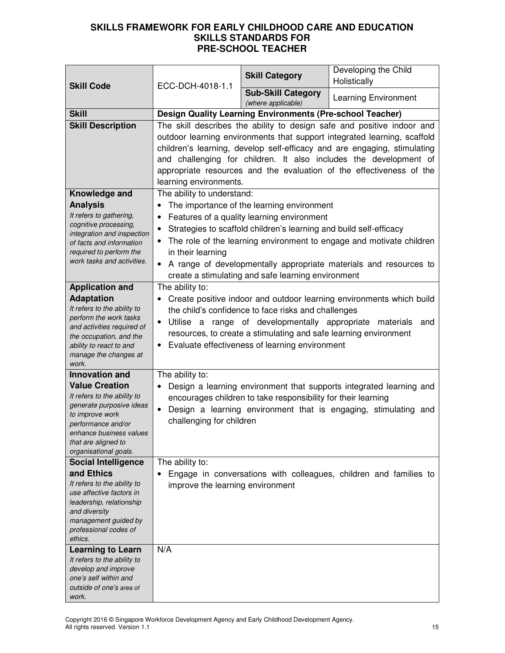| <b>Skill Code</b>                                                                                                                                                                                    | ECC-DCH-4018-1.1                                                                                                                                                                                                                                                                                                                                                                                      | <b>Skill Category</b>                                                                                                                                                                                                                   | Developing the Child<br>Holistically                                                                                                      |
|------------------------------------------------------------------------------------------------------------------------------------------------------------------------------------------------------|-------------------------------------------------------------------------------------------------------------------------------------------------------------------------------------------------------------------------------------------------------------------------------------------------------------------------------------------------------------------------------------------------------|-----------------------------------------------------------------------------------------------------------------------------------------------------------------------------------------------------------------------------------------|-------------------------------------------------------------------------------------------------------------------------------------------|
|                                                                                                                                                                                                      |                                                                                                                                                                                                                                                                                                                                                                                                       | <b>Sub-Skill Category</b><br>(where applicable)                                                                                                                                                                                         | <b>Learning Environment</b>                                                                                                               |
| <b>Skill</b>                                                                                                                                                                                         | <b>Design Quality Learning Environments (Pre-school Teacher)</b>                                                                                                                                                                                                                                                                                                                                      |                                                                                                                                                                                                                                         |                                                                                                                                           |
| <b>Skill Description</b>                                                                                                                                                                             | The skill describes the ability to design safe and positive indoor and<br>outdoor learning environments that support integrated learning, scaffold<br>children's learning, develop self-efficacy and are engaging, stimulating<br>and challenging for children. It also includes the development of<br>appropriate resources and the evaluation of the effectiveness of the<br>learning environments. |                                                                                                                                                                                                                                         |                                                                                                                                           |
| Knowledge and                                                                                                                                                                                        | The ability to understand:                                                                                                                                                                                                                                                                                                                                                                            |                                                                                                                                                                                                                                         |                                                                                                                                           |
| <b>Analysis</b><br>It refers to gathering,<br>cognitive processing,<br>integration and inspection<br>of facts and information<br>required to perform the<br>work tasks and activities.               | $\bullet$<br>in their learning                                                                                                                                                                                                                                                                                                                                                                        | The importance of the learning environment<br>Features of a quality learning environment<br>Strategies to scaffold children's learning and build self-efficacy<br>create a stimulating and safe learning environment                    | The role of the learning environment to engage and motivate children<br>A range of developmentally appropriate materials and resources to |
| <b>Application and</b>                                                                                                                                                                               | The ability to:                                                                                                                                                                                                                                                                                                                                                                                       |                                                                                                                                                                                                                                         |                                                                                                                                           |
| <b>Adaptation</b><br>It refers to the ability to<br>perform the work tasks<br>and activities required of<br>the occupation, and the<br>ability to react to and<br>manage the changes at<br>work.     |                                                                                                                                                                                                                                                                                                                                                                                                       | the child's confidence to face risks and challenges<br>Utilise a range of developmentally appropriate materials<br>resources, to create a stimulating and safe learning environment<br>• Evaluate effectiveness of learning environment | Create positive indoor and outdoor learning environments which build<br>and                                                               |
| <b>Innovation and</b>                                                                                                                                                                                | The ability to:                                                                                                                                                                                                                                                                                                                                                                                       |                                                                                                                                                                                                                                         |                                                                                                                                           |
| <b>Value Creation</b><br>It refers to the ability to<br>generate purposive ideas<br>to improve work<br>performance and/or<br>enhance business values<br>that are aligned to<br>organisational goals. | $\bullet$<br>challenging for children                                                                                                                                                                                                                                                                                                                                                                 | encourages children to take responsibility for their learning                                                                                                                                                                           | Design a learning environment that supports integrated learning and<br>Design a learning environment that is engaging, stimulating and    |
| <b>Social Intelligence</b>                                                                                                                                                                           | The ability to:                                                                                                                                                                                                                                                                                                                                                                                       |                                                                                                                                                                                                                                         |                                                                                                                                           |
| and Ethics<br>It refers to the ability to<br>use affective factors in<br>leadership, relationship<br>and diversity<br>management guided by<br>professional codes of<br>ethics.                       | $\bullet$<br>improve the learning environment                                                                                                                                                                                                                                                                                                                                                         |                                                                                                                                                                                                                                         | Engage in conversations with colleagues, children and families to                                                                         |
| <b>Learning to Learn</b><br>It refers to the ability to<br>develop and improve<br>one's self within and<br>outside of one's area of<br>work.                                                         | N/A                                                                                                                                                                                                                                                                                                                                                                                                   |                                                                                                                                                                                                                                         |                                                                                                                                           |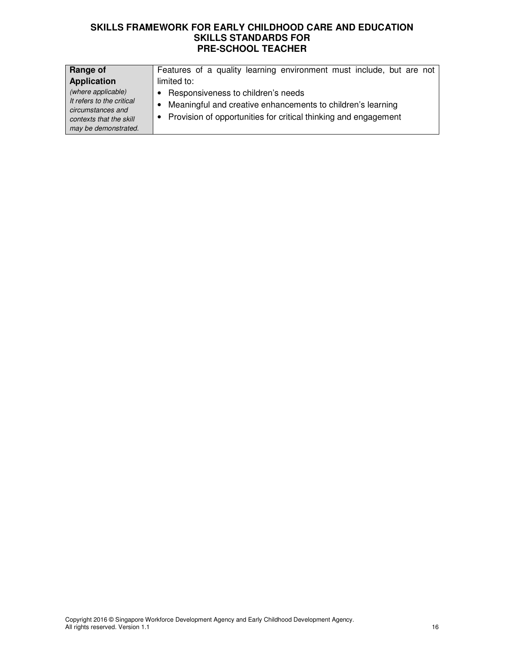| Range of                                                                                                                | Features of a quality learning environment must include, but are not                                                                                                       |
|-------------------------------------------------------------------------------------------------------------------------|----------------------------------------------------------------------------------------------------------------------------------------------------------------------------|
| <b>Application</b>                                                                                                      | limited to:                                                                                                                                                                |
| (where applicable)<br>It refers to the critical<br>circumstances and<br>contexts that the skill<br>may be demonstrated. | • Responsiveness to children's needs<br>• Meaningful and creative enhancements to children's learning<br>• Provision of opportunities for critical thinking and engagement |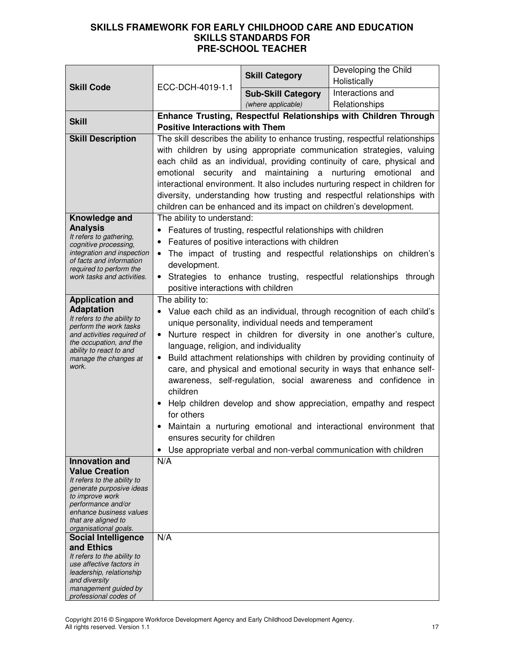|                                                         |                                                                                                                                                                                   |                                                                    | Developing the Child                                                          |
|---------------------------------------------------------|-----------------------------------------------------------------------------------------------------------------------------------------------------------------------------------|--------------------------------------------------------------------|-------------------------------------------------------------------------------|
|                                                         |                                                                                                                                                                                   | <b>Skill Category</b>                                              | Holistically                                                                  |
| <b>Skill Code</b>                                       | ECC-DCH-4019-1.1                                                                                                                                                                  | <b>Sub-Skill Category</b>                                          | Interactions and                                                              |
|                                                         |                                                                                                                                                                                   | (where applicable)                                                 | Relationships                                                                 |
| <b>Skill</b>                                            |                                                                                                                                                                                   |                                                                    | Enhance Trusting, Respectful Relationships with Children Through              |
|                                                         | <b>Positive Interactions with Them</b>                                                                                                                                            |                                                                    |                                                                               |
| <b>Skill Description</b>                                |                                                                                                                                                                                   |                                                                    | The skill describes the ability to enhance trusting, respectful relationships |
|                                                         |                                                                                                                                                                                   |                                                                    | with children by using appropriate communication strategies, valuing          |
|                                                         |                                                                                                                                                                                   |                                                                    | each child as an individual, providing continuity of care, physical and       |
|                                                         |                                                                                                                                                                                   |                                                                    | emotional security and maintaining a nurturing emotional and                  |
|                                                         |                                                                                                                                                                                   |                                                                    | interactional environment. It also includes nurturing respect in children for |
|                                                         | diversity, understanding how trusting and respectful relationships with                                                                                                           |                                                                    |                                                                               |
|                                                         |                                                                                                                                                                                   | children can be enhanced and its impact on children's development. |                                                                               |
| Knowledge and                                           | The ability to understand:                                                                                                                                                        |                                                                    |                                                                               |
| <b>Analysis</b><br>It refers to gathering,              |                                                                                                                                                                                   | • Features of trusting, respectful relationships with children     |                                                                               |
| cognitive processing,                                   |                                                                                                                                                                                   | Features of positive interactions with children                    |                                                                               |
| integration and inspection<br>of facts and information  |                                                                                                                                                                                   |                                                                    | The impact of trusting and respectful relationships on children's             |
| required to perform the                                 | development.                                                                                                                                                                      |                                                                    |                                                                               |
| work tasks and activities.                              |                                                                                                                                                                                   |                                                                    | Strategies to enhance trusting, respectful relationships through              |
|                                                         | positive interactions with children                                                                                                                                               |                                                                    |                                                                               |
| <b>Application and</b><br><b>Adaptation</b>             | The ability to:                                                                                                                                                                   |                                                                    |                                                                               |
| It refers to the ability to                             |                                                                                                                                                                                   |                                                                    | Value each child as an individual, through recognition of each child's        |
| perform the work tasks                                  | unique personality, individual needs and temperament<br>Nurture respect in children for diversity in one another's culture,<br>$\bullet$<br>language, religion, and individuality |                                                                    |                                                                               |
| and activities required of<br>the occupation, and the   |                                                                                                                                                                                   |                                                                    |                                                                               |
| ability to react to and                                 | Build attachment relationships with children by providing continuity of                                                                                                           |                                                                    |                                                                               |
| manage the changes at<br>work.                          |                                                                                                                                                                                   |                                                                    | care, and physical and emotional security in ways that enhance self-          |
|                                                         |                                                                                                                                                                                   |                                                                    | awareness, self-regulation, social awareness and confidence in                |
|                                                         | children                                                                                                                                                                          |                                                                    |                                                                               |
|                                                         |                                                                                                                                                                                   |                                                                    | Help children develop and show appreciation, empathy and respect              |
|                                                         | for others                                                                                                                                                                        |                                                                    |                                                                               |
|                                                         |                                                                                                                                                                                   |                                                                    | Maintain a nurturing emotional and interactional environment that             |
|                                                         | ensures security for children                                                                                                                                                     |                                                                    |                                                                               |
|                                                         | $\bullet$                                                                                                                                                                         |                                                                    | Use appropriate verbal and non-verbal communication with children             |
| Innovation and                                          | N/A                                                                                                                                                                               |                                                                    |                                                                               |
| <b>Value Creation</b>                                   |                                                                                                                                                                                   |                                                                    |                                                                               |
| It refers to the ability to<br>generate purposive ideas |                                                                                                                                                                                   |                                                                    |                                                                               |
| to improve work                                         |                                                                                                                                                                                   |                                                                    |                                                                               |
| performance and/or<br>enhance business values           |                                                                                                                                                                                   |                                                                    |                                                                               |
| that are aligned to                                     |                                                                                                                                                                                   |                                                                    |                                                                               |
| organisational goals.<br><b>Social Intelligence</b>     | N/A                                                                                                                                                                               |                                                                    |                                                                               |
| and Ethics                                              |                                                                                                                                                                                   |                                                                    |                                                                               |
| It refers to the ability to                             |                                                                                                                                                                                   |                                                                    |                                                                               |
| use affective factors in<br>leadership, relationship    |                                                                                                                                                                                   |                                                                    |                                                                               |
| and diversity                                           |                                                                                                                                                                                   |                                                                    |                                                                               |
| management guided by<br>professional codes of           |                                                                                                                                                                                   |                                                                    |                                                                               |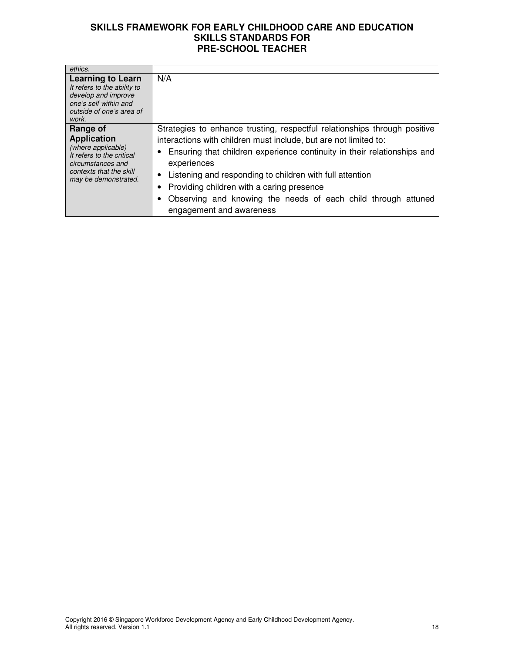| ethics.                                                                                                                                                   |                                                                                                                                                                                                                                                                                                                                                                                                                                                 |
|-----------------------------------------------------------------------------------------------------------------------------------------------------------|-------------------------------------------------------------------------------------------------------------------------------------------------------------------------------------------------------------------------------------------------------------------------------------------------------------------------------------------------------------------------------------------------------------------------------------------------|
| <b>Learning to Learn</b><br>It refers to the ability to<br>develop and improve<br>one's self within and<br>outside of one's area of<br>work.              | N/A                                                                                                                                                                                                                                                                                                                                                                                                                                             |
| Range of<br><b>Application</b><br>(where applicable)<br>It refers to the critical<br>circumstances and<br>contexts that the skill<br>may be demonstrated. | Strategies to enhance trusting, respectful relationships through positive<br>interactions with children must include, but are not limited to:<br>Ensuring that children experience continuity in their relationships and<br>experiences<br>• Listening and responding to children with full attention<br>Providing children with a caring presence<br>Observing and knowing the needs of each child through attuned<br>engagement and awareness |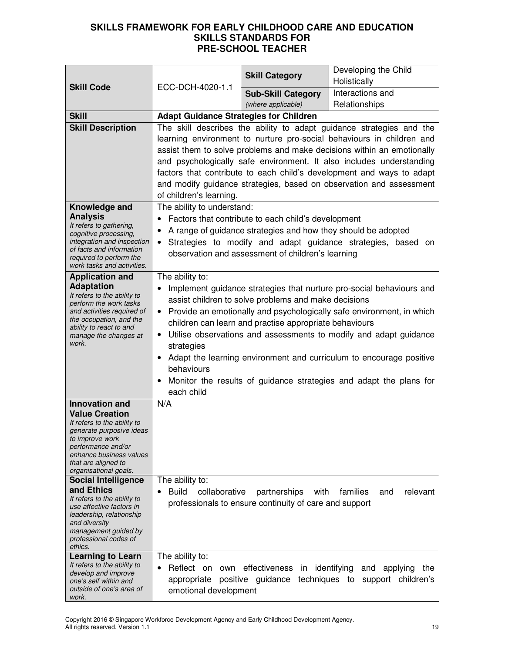|                                                         |                                                                                  | <b>Skill Category</b>                                         | Developing the Child                                                  |
|---------------------------------------------------------|----------------------------------------------------------------------------------|---------------------------------------------------------------|-----------------------------------------------------------------------|
| <b>Skill Code</b>                                       | ECC-DCH-4020-1.1                                                                 |                                                               | Holistically                                                          |
|                                                         |                                                                                  | <b>Sub-Skill Category</b>                                     | Interactions and                                                      |
|                                                         |                                                                                  | (where applicable)                                            | Relationships                                                         |
| <b>Skill</b>                                            | <b>Adapt Guidance Strategies for Children</b>                                    |                                                               |                                                                       |
| <b>Skill Description</b>                                | The skill describes the ability to adapt guidance strategies and the             |                                                               |                                                                       |
|                                                         | learning environment to nurture pro-social behaviours in children and            |                                                               |                                                                       |
|                                                         | assist them to solve problems and make decisions within an emotionally           |                                                               |                                                                       |
|                                                         |                                                                                  |                                                               | and psychologically safe environment. It also includes understanding  |
|                                                         | factors that contribute to each child's development and ways to adapt            |                                                               |                                                                       |
|                                                         | and modify guidance strategies, based on observation and assessment              |                                                               |                                                                       |
|                                                         | of children's learning.                                                          |                                                               |                                                                       |
| Knowledge and<br><b>Analysis</b>                        | The ability to understand:                                                       |                                                               |                                                                       |
| It refers to gathering,                                 | $\bullet$                                                                        | Factors that contribute to each child's development           |                                                                       |
| cognitive processing,                                   | $\bullet$                                                                        | A range of guidance strategies and how they should be adopted |                                                                       |
| integration and inspection<br>of facts and information  | $\bullet$                                                                        |                                                               | Strategies to modify and adapt guidance strategies, based on          |
| required to perform the                                 |                                                                                  | observation and assessment of children's learning             |                                                                       |
| work tasks and activities.                              |                                                                                  |                                                               |                                                                       |
| <b>Application and</b><br><b>Adaptation</b>             | The ability to:                                                                  |                                                               |                                                                       |
| It refers to the ability to                             |                                                                                  | assist children to solve problems and make decisions          | Implement guidance strategies that nurture pro-social behaviours and  |
| perform the work tasks<br>and activities required of    | ٠                                                                                |                                                               | Provide an emotionally and psychologically safe environment, in which |
| the occupation, and the                                 |                                                                                  | children can learn and practise appropriate behaviours        |                                                                       |
| ability to react to and                                 | ٠                                                                                |                                                               |                                                                       |
| manage the changes at<br>work.                          | Utilise observations and assessments to modify and adapt guidance<br>strategies  |                                                               |                                                                       |
|                                                         | Adapt the learning environment and curriculum to encourage positive<br>$\bullet$ |                                                               |                                                                       |
|                                                         | behaviours                                                                       |                                                               |                                                                       |
|                                                         | Monitor the results of guidance strategies and adapt the plans for<br>$\bullet$  |                                                               |                                                                       |
|                                                         | each child                                                                       |                                                               |                                                                       |
| Innovation and                                          | N/A                                                                              |                                                               |                                                                       |
| <b>Value Creation</b>                                   |                                                                                  |                                                               |                                                                       |
| It refers to the ability to<br>generate purposive ideas |                                                                                  |                                                               |                                                                       |
| to improve work                                         |                                                                                  |                                                               |                                                                       |
| performance and/or<br>enhance business values           |                                                                                  |                                                               |                                                                       |
| that are aligned to                                     |                                                                                  |                                                               |                                                                       |
| organisational goals.<br><b>Social Intelligence</b>     | The ability to:                                                                  |                                                               |                                                                       |
| and Ethics                                              | <b>Build</b><br>collaborative                                                    | partnerships<br>with                                          | families<br>relevant<br>and                                           |
| It refers to the ability to                             |                                                                                  | professionals to ensure continuity of care and support        |                                                                       |
| use affective factors in<br>leadership, relationship    |                                                                                  |                                                               |                                                                       |
| and diversity                                           |                                                                                  |                                                               |                                                                       |
| management guided by<br>professional codes of           |                                                                                  |                                                               |                                                                       |
| ethics.                                                 |                                                                                  |                                                               |                                                                       |
| <b>Learning to Learn</b>                                | The ability to:                                                                  |                                                               |                                                                       |
| It refers to the ability to<br>develop and improve      | Reflect on own<br>$\bullet$                                                      | effectiveness in identifying                                  | and<br>applying<br>the                                                |
| one's self within and                                   | appropriate                                                                      | positive guidance<br>techniques to                            | support children's                                                    |
| outside of one's area of<br>work.                       | emotional development                                                            |                                                               |                                                                       |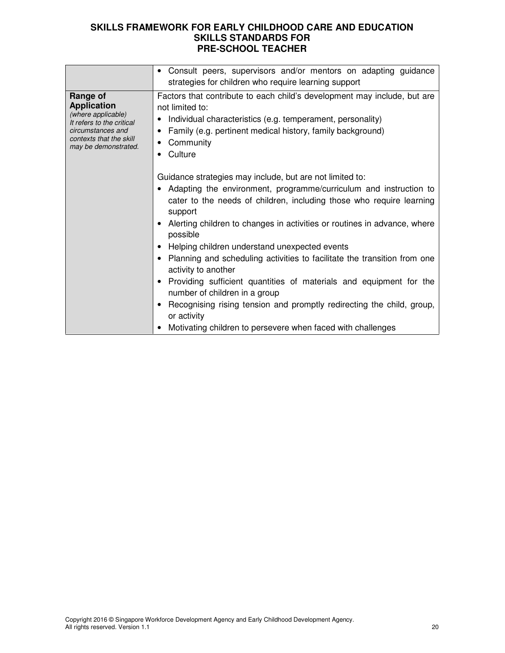|                                                                                                                                                           | Consult peers, supervisors and/or mentors on adapting guidance<br>$\bullet$<br>strategies for children who require learning support                                                                                                                                                                                                                                                                                                                                                                                                                                                                                                                                                                                                 |
|-----------------------------------------------------------------------------------------------------------------------------------------------------------|-------------------------------------------------------------------------------------------------------------------------------------------------------------------------------------------------------------------------------------------------------------------------------------------------------------------------------------------------------------------------------------------------------------------------------------------------------------------------------------------------------------------------------------------------------------------------------------------------------------------------------------------------------------------------------------------------------------------------------------|
| Range of<br><b>Application</b><br>(where applicable)<br>It refers to the critical<br>circumstances and<br>contexts that the skill<br>may be demonstrated. | Factors that contribute to each child's development may include, but are<br>not limited to:<br>Individual characteristics (e.g. temperament, personality)<br>Family (e.g. pertinent medical history, family background)<br>Community<br>٠<br>• Culture                                                                                                                                                                                                                                                                                                                                                                                                                                                                              |
|                                                                                                                                                           | Guidance strategies may include, but are not limited to:<br>• Adapting the environment, programme/curriculum and instruction to<br>cater to the needs of children, including those who require learning<br>support<br>Alerting children to changes in activities or routines in advance, where<br>possible<br>• Helping children understand unexpected events<br>Planning and scheduling activities to facilitate the transition from one<br>activity to another<br>Providing sufficient quantities of materials and equipment for the<br>number of children in a group<br>Recognising rising tension and promptly redirecting the child, group,<br>٠<br>or activity<br>Motivating children to persevere when faced with challenges |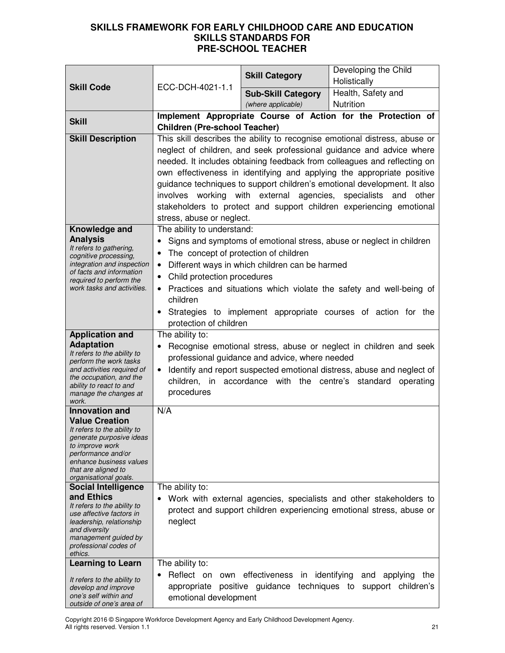|                                                         |                                                                                                                                                                                                                                                                            | <b>Skill Category</b>                                    | Developing the Child                                                                        |
|---------------------------------------------------------|----------------------------------------------------------------------------------------------------------------------------------------------------------------------------------------------------------------------------------------------------------------------------|----------------------------------------------------------|---------------------------------------------------------------------------------------------|
| <b>Skill Code</b>                                       | ECC-DCH-4021-1.1                                                                                                                                                                                                                                                           |                                                          | Holistically                                                                                |
|                                                         |                                                                                                                                                                                                                                                                            | <b>Sub-Skill Category</b>                                | Health, Safety and                                                                          |
|                                                         |                                                                                                                                                                                                                                                                            | (where applicable)                                       | Nutrition                                                                                   |
| <b>Skill</b>                                            | <b>Children (Pre-school Teacher)</b>                                                                                                                                                                                                                                       |                                                          | Implement Appropriate Course of Action for the Protection of                                |
| <b>Skill Description</b>                                |                                                                                                                                                                                                                                                                            |                                                          | This skill describes the ability to recognise emotional distress, abuse or                  |
|                                                         |                                                                                                                                                                                                                                                                            |                                                          | neglect of children, and seek professional guidance and advice where                        |
|                                                         |                                                                                                                                                                                                                                                                            |                                                          | needed. It includes obtaining feedback from colleagues and reflecting on                    |
|                                                         |                                                                                                                                                                                                                                                                            |                                                          | own effectiveness in identifying and applying the appropriate positive                      |
|                                                         |                                                                                                                                                                                                                                                                            |                                                          | guidance techniques to support children's emotional development. It also                    |
|                                                         |                                                                                                                                                                                                                                                                            | involves working with external agencies, specialists and | other                                                                                       |
|                                                         |                                                                                                                                                                                                                                                                            |                                                          | stakeholders to protect and support children experiencing emotional                         |
|                                                         | stress, abuse or neglect.                                                                                                                                                                                                                                                  |                                                          |                                                                                             |
| Knowledge and                                           | The ability to understand:                                                                                                                                                                                                                                                 |                                                          |                                                                                             |
| <b>Analysis</b><br>It refers to gathering,              | $\bullet$                                                                                                                                                                                                                                                                  |                                                          | Signs and symptoms of emotional stress, abuse or neglect in children                        |
| cognitive processing,                                   | The concept of protection of children<br>$\bullet$                                                                                                                                                                                                                         |                                                          |                                                                                             |
| integration and inspection<br>of facts and information  | $\bullet$                                                                                                                                                                                                                                                                  | Different ways in which children can be harmed           |                                                                                             |
| required to perform the<br>work tasks and activities.   | Child protection procedures<br>$\bullet$                                                                                                                                                                                                                                   |                                                          |                                                                                             |
|                                                         | $\bullet$<br>children                                                                                                                                                                                                                                                      |                                                          | Practices and situations which violate the safety and well-being of                         |
|                                                         |                                                                                                                                                                                                                                                                            |                                                          | Strategies to implement appropriate courses of action for the                               |
|                                                         | protection of children                                                                                                                                                                                                                                                     |                                                          |                                                                                             |
| <b>Application and</b>                                  | The ability to:                                                                                                                                                                                                                                                            |                                                          |                                                                                             |
| <b>Adaptation</b>                                       | Recognise emotional stress, abuse or neglect in children and seek<br>professional guidance and advice, where needed<br>Identify and report suspected emotional distress, abuse and neglect of<br>$\bullet$<br>children, in accordance with the centre's standard operating |                                                          |                                                                                             |
| It refers to the ability to<br>perform the work tasks   |                                                                                                                                                                                                                                                                            |                                                          |                                                                                             |
| and activities required of                              |                                                                                                                                                                                                                                                                            |                                                          |                                                                                             |
| the occupation, and the<br>ability to react to and      |                                                                                                                                                                                                                                                                            |                                                          |                                                                                             |
| manage the changes at                                   | procedures                                                                                                                                                                                                                                                                 |                                                          |                                                                                             |
| work.<br><b>Innovation and</b>                          | N/A                                                                                                                                                                                                                                                                        |                                                          |                                                                                             |
| <b>Value Creation</b>                                   |                                                                                                                                                                                                                                                                            |                                                          |                                                                                             |
| It refers to the ability to<br>generate purposive ideas |                                                                                                                                                                                                                                                                            |                                                          |                                                                                             |
| to improve work                                         |                                                                                                                                                                                                                                                                            |                                                          |                                                                                             |
| performance and/or<br>enhance business values           |                                                                                                                                                                                                                                                                            |                                                          |                                                                                             |
| that are aligned to                                     |                                                                                                                                                                                                                                                                            |                                                          |                                                                                             |
| organisational goals.<br><b>Social Intelligence</b>     | The ability to:                                                                                                                                                                                                                                                            |                                                          |                                                                                             |
| and Ethics                                              |                                                                                                                                                                                                                                                                            |                                                          | Work with external agencies, specialists and other stakeholders to                          |
| It refers to the ability to                             |                                                                                                                                                                                                                                                                            |                                                          | protect and support children experiencing emotional stress, abuse or                        |
| use affective factors in<br>leadership, relationship    | neglect                                                                                                                                                                                                                                                                    |                                                          |                                                                                             |
| and diversity                                           |                                                                                                                                                                                                                                                                            |                                                          |                                                                                             |
| management guided by<br>professional codes of           |                                                                                                                                                                                                                                                                            |                                                          |                                                                                             |
| ethics.                                                 |                                                                                                                                                                                                                                                                            |                                                          |                                                                                             |
| <b>Learning to Learn</b>                                | The ability to:<br>Reflect on                                                                                                                                                                                                                                              | effectiveness                                            |                                                                                             |
| It refers to the ability to                             | own<br>appropriate                                                                                                                                                                                                                                                         | in                                                       | identifying<br>applying<br>the<br>and<br>positive guidance techniques to support children's |
| develop and improve<br>one's self within and            | emotional development                                                                                                                                                                                                                                                      |                                                          |                                                                                             |
| outside of one's area of                                |                                                                                                                                                                                                                                                                            |                                                          |                                                                                             |

Copyright 2016 © Singapore Workforce Development Agency and Early Childhood Development Agency. All rights reserved. Version 1.1 21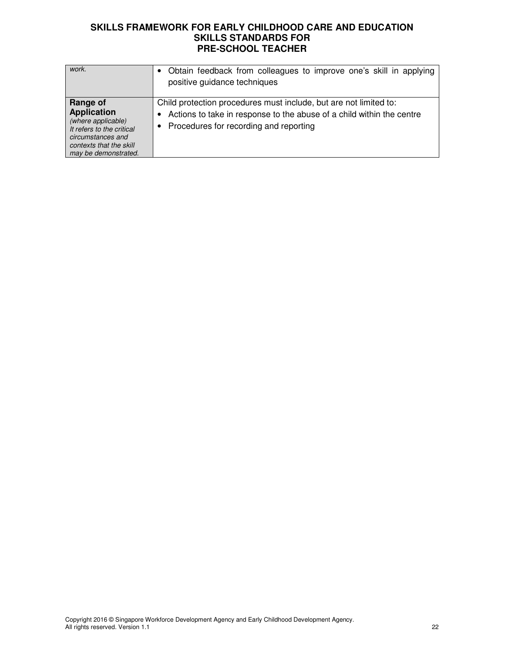| work.                                                                                                                                                     | Obtain feedback from colleagues to improve one's skill in applying<br>positive guidance techniques                                                                                     |
|-----------------------------------------------------------------------------------------------------------------------------------------------------------|----------------------------------------------------------------------------------------------------------------------------------------------------------------------------------------|
| Range of<br><b>Application</b><br>(where applicable)<br>It refers to the critical<br>circumstances and<br>contexts that the skill<br>may be demonstrated. | Child protection procedures must include, but are not limited to:<br>Actions to take in response to the abuse of a child within the centre<br>• Procedures for recording and reporting |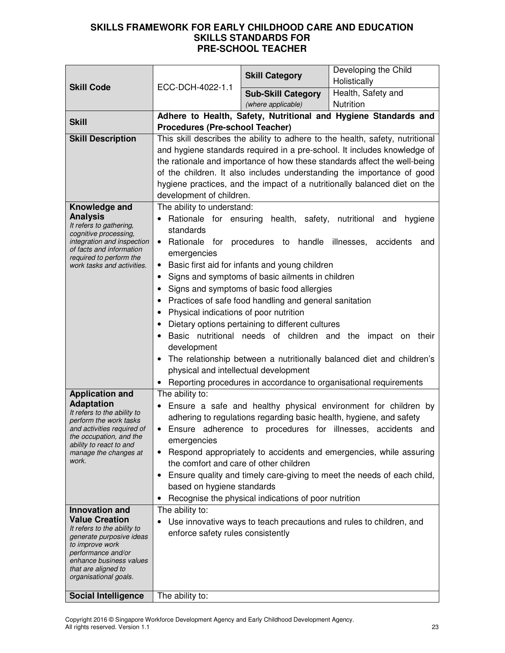|                                                       |                                                             |                                                           | Developing the Child                                                          |
|-------------------------------------------------------|-------------------------------------------------------------|-----------------------------------------------------------|-------------------------------------------------------------------------------|
|                                                       |                                                             | <b>Skill Category</b>                                     | Holistically                                                                  |
| <b>Skill Code</b>                                     | ECC-DCH-4022-1.1                                            | <b>Sub-Skill Category</b>                                 | Health, Safety and                                                            |
|                                                       |                                                             | (where applicable)                                        | Nutrition                                                                     |
|                                                       |                                                             |                                                           | Adhere to Health, Safety, Nutritional and Hygiene Standards and               |
| <b>Skill</b>                                          | <b>Procedures (Pre-school Teacher)</b>                      |                                                           |                                                                               |
| <b>Skill Description</b>                              |                                                             |                                                           | This skill describes the ability to adhere to the health, safety, nutritional |
|                                                       |                                                             |                                                           | and hygiene standards required in a pre-school. It includes knowledge of      |
|                                                       |                                                             |                                                           | the rationale and importance of how these standards affect the well-being     |
|                                                       |                                                             |                                                           | of the children. It also includes understanding the importance of good        |
|                                                       |                                                             |                                                           | hygiene practices, and the impact of a nutritionally balanced diet on the     |
|                                                       | development of children.                                    |                                                           |                                                                               |
| Knowledge and                                         | The ability to understand:                                  |                                                           |                                                                               |
| <b>Analysis</b>                                       |                                                             |                                                           | Rationale for ensuring health, safety, nutritional and hygiene                |
| It refers to gathering,<br>cognitive processing,      | standards                                                   |                                                           |                                                                               |
| integration and inspection                            |                                                             | • Rationale for procedures to handle illnesses, accidents | and                                                                           |
| of facts and information<br>required to perform the   | emergencies                                                 |                                                           |                                                                               |
| work tasks and activities.                            |                                                             | Basic first aid for infants and young children            |                                                                               |
|                                                       | ٠                                                           | Signs and symptoms of basic ailments in children          |                                                                               |
|                                                       |                                                             | Signs and symptoms of basic food allergies                |                                                                               |
|                                                       | Practices of safe food handling and general sanitation<br>٠ |                                                           |                                                                               |
|                                                       | Physical indications of poor nutrition                      |                                                           |                                                                               |
|                                                       | Dietary options pertaining to different cultures            |                                                           |                                                                               |
|                                                       | Basic nutritional needs of children and the impact on their |                                                           |                                                                               |
|                                                       | development                                                 |                                                           |                                                                               |
|                                                       |                                                             |                                                           | The relationship between a nutritionally balanced diet and children's         |
|                                                       | physical and intellectual development                       |                                                           |                                                                               |
|                                                       |                                                             |                                                           | Reporting procedures in accordance to organisational requirements             |
| <b>Application and</b>                                | The ability to:                                             |                                                           |                                                                               |
| <b>Adaptation</b><br>It refers to the ability to      |                                                             |                                                           | Ensure a safe and healthy physical environment for children by                |
| perform the work tasks                                |                                                             |                                                           | adhering to regulations regarding basic health, hygiene, and safety           |
| and activities required of<br>the occupation, and the | $\bullet$                                                   |                                                           | Ensure adherence to procedures for illnesses, accidents and                   |
| ability to react to and                               | emergencies                                                 |                                                           |                                                                               |
| manage the changes at<br>work.                        |                                                             |                                                           | Respond appropriately to accidents and emergencies, while assuring            |
|                                                       | the comfort and care of other children                      |                                                           |                                                                               |
|                                                       |                                                             |                                                           | Ensure quality and timely care-giving to meet the needs of each child,        |
|                                                       | based on hygiene standards<br>$\bullet$                     | Recognise the physical indications of poor nutrition      |                                                                               |
| Innovation and                                        | The ability to:                                             |                                                           |                                                                               |
| <b>Value Creation</b>                                 |                                                             |                                                           | Use innovative ways to teach precautions and rules to children, and           |
| It refers to the ability to                           | enforce safety rules consistently                           |                                                           |                                                                               |
| generate purposive ideas<br>to improve work           |                                                             |                                                           |                                                                               |
| performance and/or                                    |                                                             |                                                           |                                                                               |
| enhance business values<br>that are aligned to        |                                                             |                                                           |                                                                               |
| organisational goals.                                 |                                                             |                                                           |                                                                               |
|                                                       |                                                             |                                                           |                                                                               |
| <b>Social Intelligence</b>                            | The ability to:                                             |                                                           |                                                                               |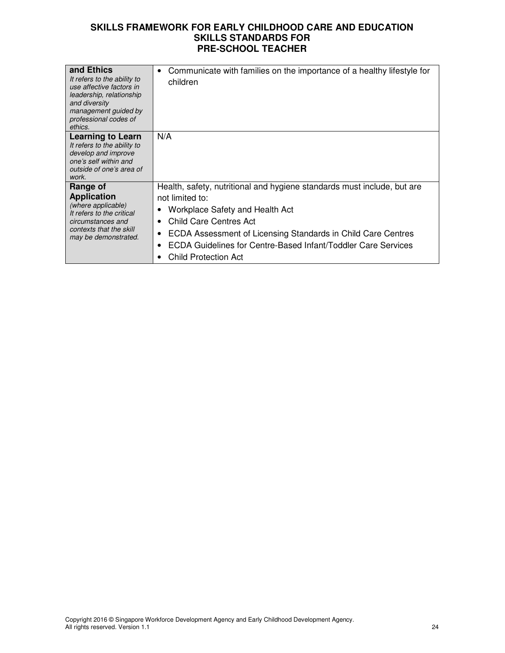| and Ethics<br>It refers to the ability to<br>use affective factors in<br>leadership, relationship<br>and diversity<br>management guided by<br>professional codes of<br>ethics. | Communicate with families on the importance of a healthy lifestyle for<br>$\bullet$<br>children                                                                                                                                                                                                                         |
|--------------------------------------------------------------------------------------------------------------------------------------------------------------------------------|-------------------------------------------------------------------------------------------------------------------------------------------------------------------------------------------------------------------------------------------------------------------------------------------------------------------------|
| Learning to Learn<br>It refers to the ability to<br>develop and improve<br>one's self within and<br>outside of one's area of<br>work.                                          | N/A                                                                                                                                                                                                                                                                                                                     |
| Range of<br><b>Application</b><br>(where applicable)<br>It refers to the critical<br>circumstances and<br>contexts that the skill<br>may be demonstrated.                      | Health, safety, nutritional and hygiene standards must include, but are<br>not limited to:<br><b>Workplace Safety and Health Act</b><br>Child Care Centres Act<br>ECDA Assessment of Licensing Standards in Child Care Centres<br>ECDA Guidelines for Centre-Based Infant/Toddler Care Services<br>Child Protection Act |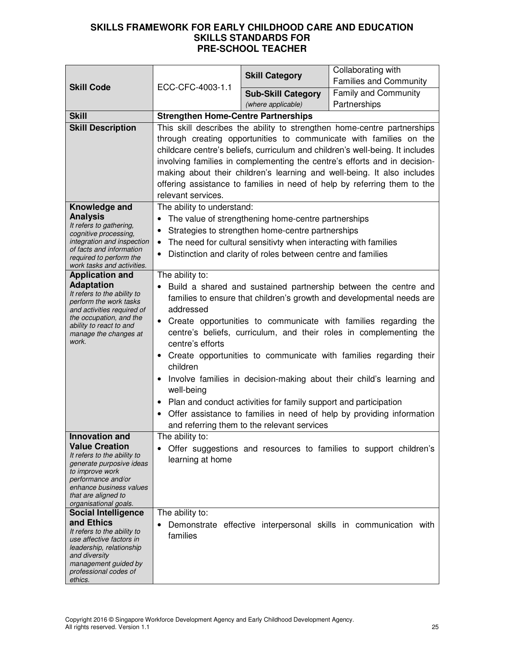| <b>Skill Code</b>                                      | ECC-CFC-4003-1.1                                                                                | <b>Skill Category</b>                                            | Collaborating with                                                            |
|--------------------------------------------------------|-------------------------------------------------------------------------------------------------|------------------------------------------------------------------|-------------------------------------------------------------------------------|
|                                                        |                                                                                                 |                                                                  | <b>Families and Community</b>                                                 |
|                                                        |                                                                                                 | <b>Sub-Skill Category</b>                                        | <b>Family and Community</b><br>Partnerships                                   |
| <b>Skill</b>                                           | (where applicable)<br><b>Strengthen Home-Centre Partnerships</b>                                |                                                                  |                                                                               |
| <b>Skill Description</b>                               |                                                                                                 |                                                                  | This skill describes the ability to strengthen home-centre partnerships       |
|                                                        |                                                                                                 |                                                                  | through creating opportunities to communicate with families on the            |
|                                                        |                                                                                                 |                                                                  | childcare centre's beliefs, curriculum and children's well-being. It includes |
|                                                        |                                                                                                 |                                                                  | involving families in complementing the centre's efforts and in decision-     |
|                                                        |                                                                                                 |                                                                  | making about their children's learning and well-being. It also includes       |
|                                                        |                                                                                                 |                                                                  | offering assistance to families in need of help by referring them to the      |
|                                                        | relevant services.                                                                              |                                                                  |                                                                               |
| Knowledge and                                          | The ability to understand:                                                                      |                                                                  |                                                                               |
| <b>Analysis</b><br>It refers to gathering,             |                                                                                                 | The value of strengthening home-centre partnerships              |                                                                               |
| cognitive processing,                                  | $\bullet$                                                                                       | Strategies to strengthen home-centre partnerships                |                                                                               |
| integration and inspection<br>of facts and information | $\bullet$                                                                                       | The need for cultural sensitivty when interacting with families  |                                                                               |
| required to perform the<br>work tasks and activities.  | Distinction and clarity of roles between centre and families                                    |                                                                  |                                                                               |
| <b>Application and</b>                                 | The ability to:                                                                                 |                                                                  |                                                                               |
| <b>Adaptation</b>                                      |                                                                                                 |                                                                  | Build a shared and sustained partnership between the centre and               |
| It refers to the ability to<br>perform the work tasks  | families to ensure that children's growth and developmental needs are                           |                                                                  |                                                                               |
| and activities required of                             | addressed                                                                                       |                                                                  |                                                                               |
| the occupation, and the<br>ability to react to and     |                                                                                                 |                                                                  | Create opportunities to communicate with families regarding the               |
| manage the changes at                                  | centre's beliefs, curriculum, and their roles in complementing the                              |                                                                  |                                                                               |
| work.                                                  | centre's efforts                                                                                |                                                                  |                                                                               |
|                                                        | Create opportunities to communicate with families regarding their<br>٠<br>children              |                                                                  |                                                                               |
|                                                        | Involve families in decision-making about their child's learning and<br>$\bullet$<br>well-being |                                                                  |                                                                               |
|                                                        | $\bullet$                                                                                       | Plan and conduct activities for family support and participation |                                                                               |
|                                                        |                                                                                                 |                                                                  | Offer assistance to families in need of help by providing information         |
|                                                        |                                                                                                 | and referring them to the relevant services                      |                                                                               |
| <b>Innovation and</b>                                  | The ability to:                                                                                 |                                                                  |                                                                               |
| <b>Value Creation</b><br>It refers to the ability to   |                                                                                                 |                                                                  | Offer suggestions and resources to families to support children's             |
| generate purposive ideas                               | learning at home                                                                                |                                                                  |                                                                               |
| to improve work<br>performance and/or                  |                                                                                                 |                                                                  |                                                                               |
| enhance business values                                |                                                                                                 |                                                                  |                                                                               |
| that are aligned to<br>organisational goals.           |                                                                                                 |                                                                  |                                                                               |
| <b>Social Intelligence</b>                             | The ability to:                                                                                 |                                                                  |                                                                               |
| and Ethics<br>It refers to the ability to              |                                                                                                 |                                                                  | Demonstrate effective interpersonal skills in communication with              |
| use affective factors in                               | families                                                                                        |                                                                  |                                                                               |
| leadership, relationship<br>and diversity              |                                                                                                 |                                                                  |                                                                               |
| management guided by                                   |                                                                                                 |                                                                  |                                                                               |
| professional codes of<br>ethics.                       |                                                                                                 |                                                                  |                                                                               |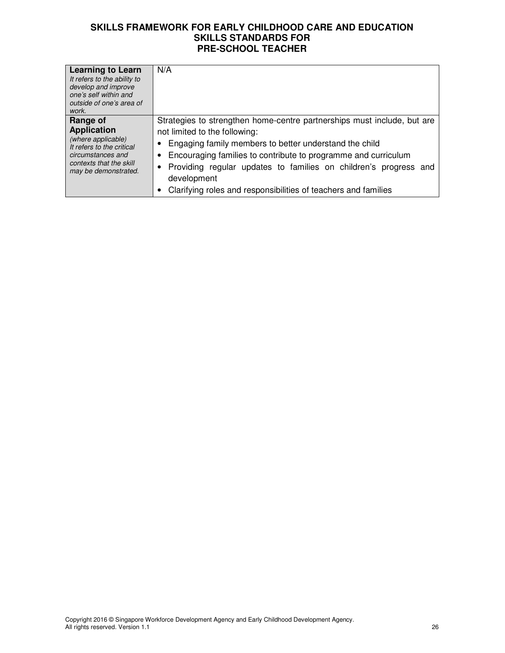| <b>Learning to Learn</b><br>It refers to the ability to<br>develop and improve<br>one's self within and                                                   | N/A                                                                                                                                                                                                                                                                                                                                                                                                    |
|-----------------------------------------------------------------------------------------------------------------------------------------------------------|--------------------------------------------------------------------------------------------------------------------------------------------------------------------------------------------------------------------------------------------------------------------------------------------------------------------------------------------------------------------------------------------------------|
| outside of one's area of<br>work.                                                                                                                         |                                                                                                                                                                                                                                                                                                                                                                                                        |
| Range of<br><b>Application</b><br>(where applicable)<br>It refers to the critical<br>circumstances and<br>contexts that the skill<br>may be demonstrated. | Strategies to strengthen home-centre partnerships must include, but are<br>not limited to the following:<br>Engaging family members to better understand the child<br>Encouraging families to contribute to programme and curriculum<br>Providing regular updates to families on children's progress and<br>$\bullet$<br>development<br>Clarifying roles and responsibilities of teachers and families |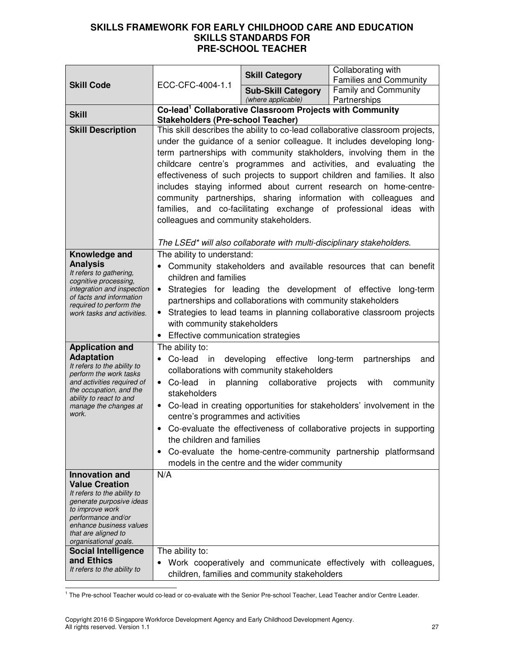|                                                                                                                                                                                                  |                                                                                                                                                                                                                                                                                                                                                                                                                                                                                                                                                                                                                                                                                        | <b>Skill Category</b>                                                                                                                           | Collaborating with<br><b>Families and Community</b>                                                                                                                                                                                                                                    |
|--------------------------------------------------------------------------------------------------------------------------------------------------------------------------------------------------|----------------------------------------------------------------------------------------------------------------------------------------------------------------------------------------------------------------------------------------------------------------------------------------------------------------------------------------------------------------------------------------------------------------------------------------------------------------------------------------------------------------------------------------------------------------------------------------------------------------------------------------------------------------------------------------|-------------------------------------------------------------------------------------------------------------------------------------------------|----------------------------------------------------------------------------------------------------------------------------------------------------------------------------------------------------------------------------------------------------------------------------------------|
| <b>Skill Code</b>                                                                                                                                                                                | ECC-CFC-4004-1.1                                                                                                                                                                                                                                                                                                                                                                                                                                                                                                                                                                                                                                                                       | <b>Sub-Skill Category</b><br>(where applicable)                                                                                                 | <b>Family and Community</b><br>Partnerships                                                                                                                                                                                                                                            |
|                                                                                                                                                                                                  |                                                                                                                                                                                                                                                                                                                                                                                                                                                                                                                                                                                                                                                                                        | Co-lead <sup>1</sup> Collaborative Classroom Projects with Community                                                                            |                                                                                                                                                                                                                                                                                        |
| <b>Skill</b>                                                                                                                                                                                     |                                                                                                                                                                                                                                                                                                                                                                                                                                                                                                                                                                                                                                                                                        |                                                                                                                                                 |                                                                                                                                                                                                                                                                                        |
| <b>Skill Description</b>                                                                                                                                                                         | <b>Stakeholders (Pre-school Teacher)</b><br>This skill describes the ability to co-lead collaborative classroom projects,<br>under the guidance of a senior colleague. It includes developing long-<br>term partnerships with community stakholders, involving them in the<br>childcare centre's programmes and activities, and evaluating the<br>effectiveness of such projects to support children and families. It also<br>includes staying informed about current research on home-centre-<br>community partnerships, sharing information with colleagues<br>and<br>families, and co-facilitating exchange of professional ideas<br>with<br>colleagues and community stakeholders. |                                                                                                                                                 |                                                                                                                                                                                                                                                                                        |
| Knowledge and                                                                                                                                                                                    | The ability to understand:                                                                                                                                                                                                                                                                                                                                                                                                                                                                                                                                                                                                                                                             | The LSEd* will also collaborate with multi-disciplinary stakeholders.                                                                           |                                                                                                                                                                                                                                                                                        |
| <b>Analysis</b><br>It refers to gathering,<br>cognitive processing,<br>integration and inspection<br>of facts and information<br>required to perform the<br>work tasks and activities.           | children and families<br>$\bullet$<br>$\bullet$<br>with community stakeholders<br>Effective communication strategies<br>$\bullet$                                                                                                                                                                                                                                                                                                                                                                                                                                                                                                                                                      | partnerships and collaborations with community stakeholders                                                                                     | Community stakeholders and available resources that can benefit<br>Strategies for leading the development of effective long-term<br>Strategies to lead teams in planning collaborative classroom projects                                                                              |
| <b>Application and</b>                                                                                                                                                                           | The ability to:                                                                                                                                                                                                                                                                                                                                                                                                                                                                                                                                                                                                                                                                        |                                                                                                                                                 |                                                                                                                                                                                                                                                                                        |
| <b>Adaptation</b><br>It refers to the ability to<br>perform the work tasks<br>and activities required of<br>the occupation, and the<br>ability to react to and<br>manage the changes at<br>work. | Co-lead in<br>Co-lead<br>in<br>$\bullet$<br>stakeholders<br>٠<br>centre's programmes and activities<br>$\bullet$<br>the children and families<br>٠                                                                                                                                                                                                                                                                                                                                                                                                                                                                                                                                     | developing effective<br>collaborations with community stakeholders<br>planning<br>collaborative<br>models in the centre and the wider community | long-term<br>partnerships<br>and<br>with<br>projects<br>community<br>Co-lead in creating opportunities for stakeholders' involvement in the<br>Co-evaluate the effectiveness of collaborative projects in supporting<br>Co-evaluate the home-centre-community partnership platformsand |
| <b>Innovation and</b><br><b>Value Creation</b><br>It refers to the ability to<br>generate purposive ideas<br>to improve work<br>performance and/or                                               | N/A                                                                                                                                                                                                                                                                                                                                                                                                                                                                                                                                                                                                                                                                                    |                                                                                                                                                 |                                                                                                                                                                                                                                                                                        |
| enhance business values<br>that are aligned to<br>organisational goals.                                                                                                                          |                                                                                                                                                                                                                                                                                                                                                                                                                                                                                                                                                                                                                                                                                        |                                                                                                                                                 |                                                                                                                                                                                                                                                                                        |
| <b>Social Intelligence</b><br>and Ethics<br>It refers to the ability to                                                                                                                          | The ability to:                                                                                                                                                                                                                                                                                                                                                                                                                                                                                                                                                                                                                                                                        |                                                                                                                                                 | Work cooperatively and communicate effectively with colleagues,                                                                                                                                                                                                                        |
|                                                                                                                                                                                                  |                                                                                                                                                                                                                                                                                                                                                                                                                                                                                                                                                                                                                                                                                        | children, families and community stakeholders                                                                                                   |                                                                                                                                                                                                                                                                                        |

1 The Pre-school Teacher would co-lead or co-evaluate with the Senior Pre-school Teacher, Lead Teacher and/or Centre Leader.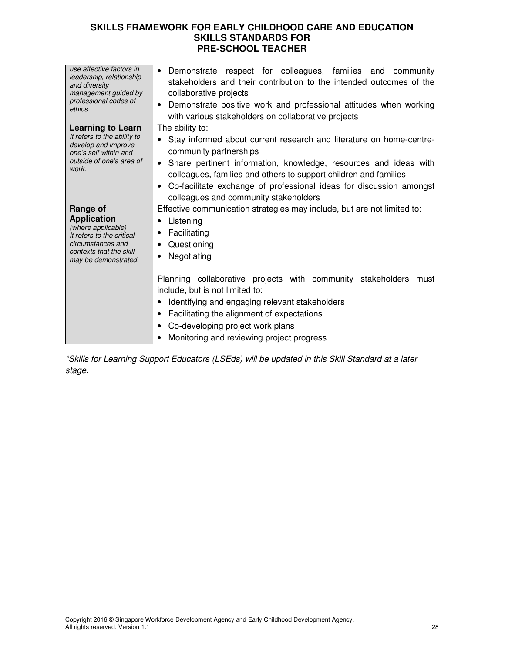| use affective factors in<br>leadership, relationship<br>and diversity<br>management guided by<br>professional codes of<br>ethics.                         | Demonstrate respect for colleagues, families and<br>community<br>stakeholders and their contribution to the intended outcomes of the<br>collaborative projects<br>Demonstrate positive work and professional attitudes when working<br>with various stakeholders on collaborative projects                                                                                                                                              |
|-----------------------------------------------------------------------------------------------------------------------------------------------------------|-----------------------------------------------------------------------------------------------------------------------------------------------------------------------------------------------------------------------------------------------------------------------------------------------------------------------------------------------------------------------------------------------------------------------------------------|
| <b>Learning to Learn</b><br>It refers to the ability to<br>develop and improve<br>one's self within and<br>outside of one's area of<br>work.              | The ability to:<br>Stay informed about current research and literature on home-centre-<br>community partnerships<br>Share pertinent information, knowledge, resources and ideas with<br>colleagues, families and others to support children and families<br>Co-facilitate exchange of professional ideas for discussion amongst<br>colleagues and community stakeholders                                                                |
| Range of<br><b>Application</b><br>(where applicable)<br>It refers to the critical<br>circumstances and<br>contexts that the skill<br>may be demonstrated. | Effective communication strategies may include, but are not limited to:<br>Listening<br>Facilitating<br>$\bullet$<br>Questioning<br>Negotiating<br>Planning collaborative projects with community stakeholders must<br>include, but is not limited to:<br>Identifying and engaging relevant stakeholders<br>Facilitating the alignment of expectations<br>Co-developing project work plans<br>Monitoring and reviewing project progress |

\*Skills for Learning Support Educators (LSEds) will be updated in this Skill Standard at a later stage.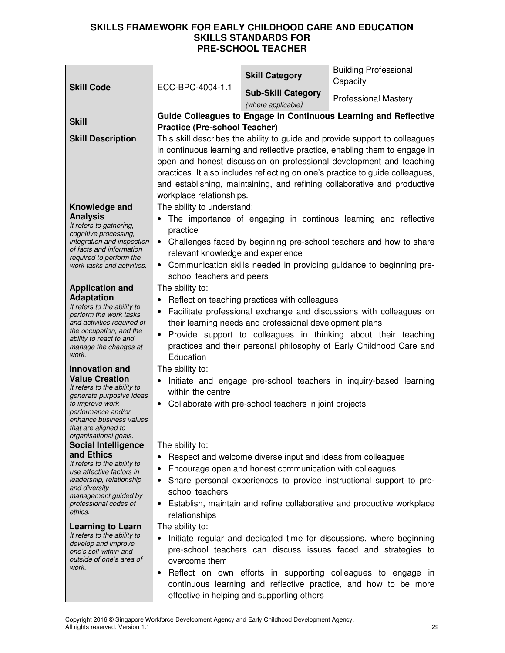| <b>Skill Code</b>                                                                                                                                                                                                             | ECC-BPC-4004-1.1                                                                                                                                                                                                                                                                                                                                                                                                          | <b>Skill Category</b>                                                                                                  | <b>Building Professional</b><br>Capacity                                                                                                                                                                                                                                  |
|-------------------------------------------------------------------------------------------------------------------------------------------------------------------------------------------------------------------------------|---------------------------------------------------------------------------------------------------------------------------------------------------------------------------------------------------------------------------------------------------------------------------------------------------------------------------------------------------------------------------------------------------------------------------|------------------------------------------------------------------------------------------------------------------------|---------------------------------------------------------------------------------------------------------------------------------------------------------------------------------------------------------------------------------------------------------------------------|
|                                                                                                                                                                                                                               |                                                                                                                                                                                                                                                                                                                                                                                                                           | <b>Sub-Skill Category</b><br>(where applicable)                                                                        | <b>Professional Mastery</b>                                                                                                                                                                                                                                               |
| <b>Skill</b>                                                                                                                                                                                                                  |                                                                                                                                                                                                                                                                                                                                                                                                                           |                                                                                                                        | Guide Colleagues to Engage in Continuous Learning and Reflective                                                                                                                                                                                                          |
|                                                                                                                                                                                                                               | <b>Practice (Pre-school Teacher)</b>                                                                                                                                                                                                                                                                                                                                                                                      |                                                                                                                        |                                                                                                                                                                                                                                                                           |
| <b>Skill Description</b>                                                                                                                                                                                                      | This skill describes the ability to guide and provide support to colleagues<br>in continuous learning and reflective practice, enabling them to engage in<br>open and honest discussion on professional development and teaching<br>practices. It also includes reflecting on one's practice to guide colleagues,<br>and establishing, maintaining, and refining collaborative and productive<br>workplace relationships. |                                                                                                                        |                                                                                                                                                                                                                                                                           |
| Knowledge and<br><b>Analysis</b><br>It refers to gathering,<br>cognitive processing,<br>integration and inspection<br>of facts and information<br>required to perform the<br>work tasks and activities.                       | The ability to understand:<br>The importance of engaging in continous learning and reflective<br>practice<br>• Challenges faced by beginning pre-school teachers and how to share<br>relevant knowledge and experience<br>Communication skills needed in providing guidance to beginning pre-<br>$\bullet$<br>school teachers and peers                                                                                   |                                                                                                                        |                                                                                                                                                                                                                                                                           |
| <b>Application and</b><br><b>Adaptation</b><br>It refers to the ability to<br>perform the work tasks<br>and activities required of<br>the occupation, and the<br>ability to react to and<br>manage the changes at<br>work.    | The ability to:<br>Reflect on teaching practices with colleagues<br>Facilitate professional exchange and discussions with colleagues on<br>their learning needs and professional development plans<br>Provide support to colleagues in thinking about their teaching<br>$\bullet$<br>practices and their personal philosophy of Early Childhood Care and<br>Education                                                     |                                                                                                                        |                                                                                                                                                                                                                                                                           |
| <b>Innovation and</b><br><b>Value Creation</b><br>It refers to the ability to<br>generate purposive ideas<br>to improve work<br>performance and/or<br>enhance business values<br>that are aligned to<br>organisational goals. | The ability to:<br>$\bullet$<br>within the centre<br>$\bullet$                                                                                                                                                                                                                                                                                                                                                            | Collaborate with pre-school teachers in joint projects                                                                 | Initiate and engage pre-school teachers in inquiry-based learning                                                                                                                                                                                                         |
| <b>Social Intelligence</b>                                                                                                                                                                                                    | The ability to:                                                                                                                                                                                                                                                                                                                                                                                                           |                                                                                                                        |                                                                                                                                                                                                                                                                           |
| and Ethics<br>It refers to the ability to<br>use affective factors in<br>leadership, relationship<br>and diversity<br>management guided by<br>professional codes of<br>ethics.                                                | ٠<br>school teachers<br>$\bullet$<br>relationships                                                                                                                                                                                                                                                                                                                                                                        | Respect and welcome diverse input and ideas from colleagues<br>Encourage open and honest communication with colleagues | Share personal experiences to provide instructional support to pre-<br>Establish, maintain and refine collaborative and productive workplace                                                                                                                              |
| <b>Learning to Learn</b><br>It refers to the ability to<br>develop and improve<br>one's self within and<br>outside of one's area of<br>work.                                                                                  | The ability to:<br>٠<br>overcome them<br>٠                                                                                                                                                                                                                                                                                                                                                                                | effective in helping and supporting others                                                                             | Initiate regular and dedicated time for discussions, where beginning<br>pre-school teachers can discuss issues faced and strategies to<br>Reflect on own efforts in supporting colleagues to engage in<br>continuous learning and reflective practice, and how to be more |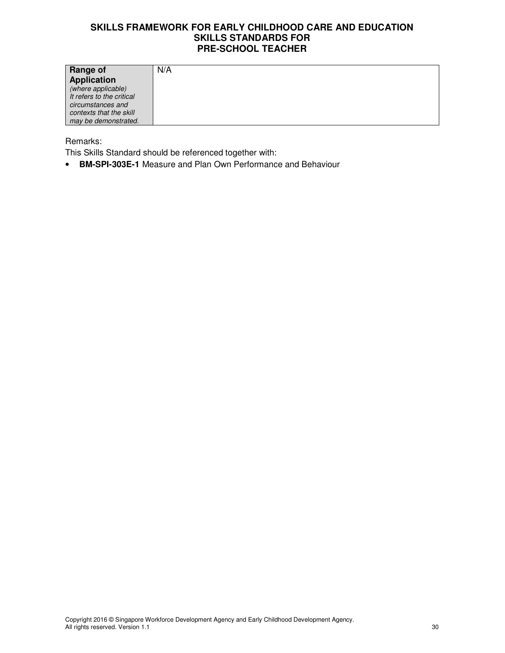| Range of                  | N/A |
|---------------------------|-----|
| <b>Application</b>        |     |
| (where applicable)        |     |
| It refers to the critical |     |
| circumstances and         |     |
| contexts that the skill   |     |
| may be demonstrated.      |     |

#### Remarks:

This Skills Standard should be referenced together with:

• **BM-SPI-303E-1** Measure and Plan Own Performance and Behaviour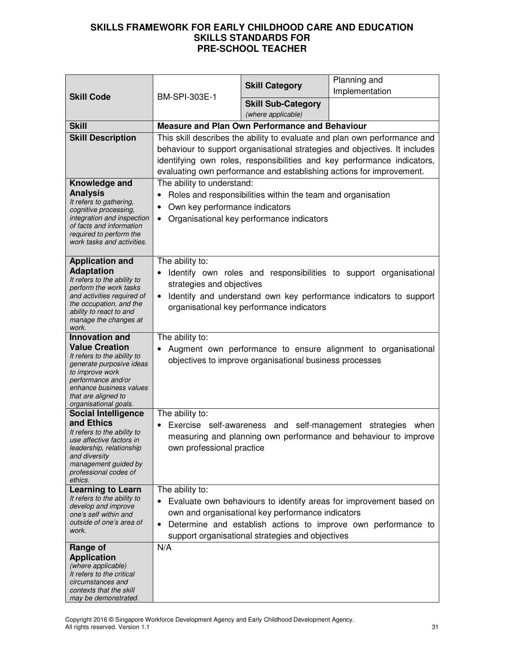| <b>Skill Code</b><br>BM-SPI-303E-1                                                                                                                                                                                            |                                                                                                                                                                                                                                                                                                            | <b>Skill Category</b>                                                                                 | Planning and<br>Implementation                                                                                                         |
|-------------------------------------------------------------------------------------------------------------------------------------------------------------------------------------------------------------------------------|------------------------------------------------------------------------------------------------------------------------------------------------------------------------------------------------------------------------------------------------------------------------------------------------------------|-------------------------------------------------------------------------------------------------------|----------------------------------------------------------------------------------------------------------------------------------------|
|                                                                                                                                                                                                                               |                                                                                                                                                                                                                                                                                                            | <b>Skill Sub-Category</b><br>(where applicable)                                                       |                                                                                                                                        |
| <b>Skill</b>                                                                                                                                                                                                                  |                                                                                                                                                                                                                                                                                                            | <b>Measure and Plan Own Performance and Behaviour</b>                                                 |                                                                                                                                        |
| <b>Skill Description</b>                                                                                                                                                                                                      | This skill describes the ability to evaluate and plan own performance and<br>behaviour to support organisational strategies and objectives. It includes<br>identifying own roles, responsibilities and key performance indicators,<br>evaluating own performance and establishing actions for improvement. |                                                                                                       |                                                                                                                                        |
| Knowledge and<br><b>Analysis</b><br>It refers to gathering,<br>cognitive processing,<br>integration and inspection<br>of facts and information<br>required to perform the<br>work tasks and activities.                       | The ability to understand:<br>Roles and responsibilities within the team and organisation<br>$\bullet$<br>Own key performance indicators<br>Organisational key performance indicators                                                                                                                      |                                                                                                       |                                                                                                                                        |
| <b>Application and</b><br><b>Adaptation</b><br>It refers to the ability to<br>perform the work tasks<br>and activities required of<br>the occupation, and the<br>ability to react to and<br>manage the changes at<br>work.    | The ability to:<br>strategies and objectives                                                                                                                                                                                                                                                               | organisational key performance indicators                                                             | Identify own roles and responsibilities to support organisational<br>Identify and understand own key performance indicators to support |
| <b>Innovation and</b><br><b>Value Creation</b><br>It refers to the ability to<br>generate purposive ideas<br>to improve work<br>performance and/or<br>enhance business values<br>that are aligned to<br>organisational goals. | The ability to:                                                                                                                                                                                                                                                                                            | objectives to improve organisational business processes                                               | Augment own performance to ensure alignment to organisational                                                                          |
| <b>Social Intelligence</b><br>and Ethics<br>It refers to the ability to<br>use affective factors in<br>leadership, relationship<br>and diversity<br>management guided by<br>professional codes of<br>ethics.                  | The ability to:<br>own professional practice                                                                                                                                                                                                                                                               | Exercise self-awareness and self-management strategies                                                | when<br>measuring and planning own performance and behaviour to improve                                                                |
| <b>Learning to Learn</b><br>It refers to the ability to<br>develop and improve<br>one's self within and<br>outside of one's area of<br>work.                                                                                  | The ability to:                                                                                                                                                                                                                                                                                            | own and organisational key performance indicators<br>support organisational strategies and objectives | Evaluate own behaviours to identify areas for improvement based on<br>Determine and establish actions to improve own performance to    |
| Range of<br><b>Application</b><br>(where applicable)<br>It refers to the critical<br>circumstances and<br>contexts that the skill<br>may be demonstrated.                                                                     | N/A                                                                                                                                                                                                                                                                                                        |                                                                                                       |                                                                                                                                        |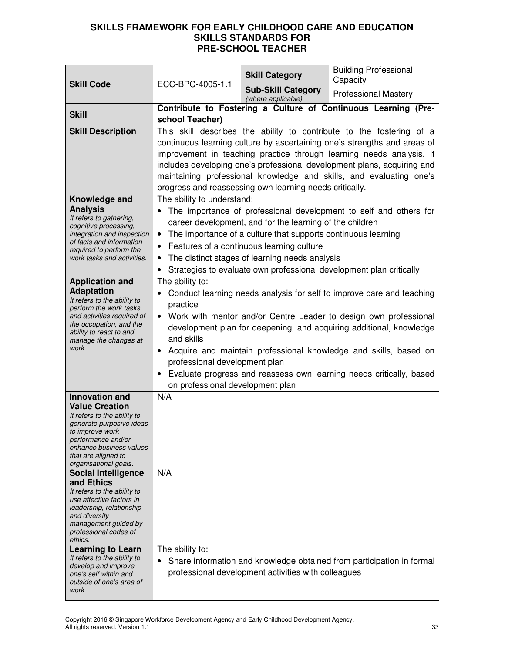|                                                                                                                                                                                                                                                             |                                                                                                                                                                                                                                                                                                                                                                                                                                                                                              | <b>Skill Category</b>                               | <b>Building Professional</b><br>Capacity                              |
|-------------------------------------------------------------------------------------------------------------------------------------------------------------------------------------------------------------------------------------------------------------|----------------------------------------------------------------------------------------------------------------------------------------------------------------------------------------------------------------------------------------------------------------------------------------------------------------------------------------------------------------------------------------------------------------------------------------------------------------------------------------------|-----------------------------------------------------|-----------------------------------------------------------------------|
| <b>Skill Code</b>                                                                                                                                                                                                                                           | ECC-BPC-4005-1.1                                                                                                                                                                                                                                                                                                                                                                                                                                                                             | <b>Sub-Skill Category</b><br>(where applicable)     | <b>Professional Mastery</b>                                           |
| <b>Skill</b>                                                                                                                                                                                                                                                | school Teacher)                                                                                                                                                                                                                                                                                                                                                                                                                                                                              |                                                     | Contribute to Fostering a Culture of Continuous Learning (Pre-        |
| <b>Skill Description</b>                                                                                                                                                                                                                                    | This skill describes the ability to contribute to the fostering of a<br>continuous learning culture by ascertaining one's strengths and areas of<br>improvement in teaching practice through learning needs analysis. It<br>includes developing one's professional development plans, acquiring and<br>maintaining professional knowledge and skills, and evaluating one's<br>progress and reassessing own learning needs critically.                                                        |                                                     |                                                                       |
| Knowledge and<br><b>Analysis</b><br>It refers to gathering,<br>cognitive processing,<br>integration and inspection<br>of facts and information<br>required to perform the<br>work tasks and activities.                                                     | The ability to understand:<br>The importance of professional development to self and others for<br>career development, and for the learning of the children<br>The importance of a culture that supports continuous learning<br>$\bullet$<br>Features of a continuous learning culture<br>$\bullet$<br>The distinct stages of learning needs analysis<br>Strategies to evaluate own professional development plan critically                                                                 |                                                     |                                                                       |
| <b>Application and</b><br><b>Adaptation</b><br>It refers to the ability to<br>perform the work tasks<br>and activities required of<br>the occupation, and the<br>ability to react to and<br>manage the changes at<br>work.                                  | The ability to:<br>Conduct learning needs analysis for self to improve care and teaching<br>practice<br>• Work with mentor and/or Centre Leader to design own professional<br>development plan for deepening, and acquiring additional, knowledge<br>and skills<br>Acquire and maintain professional knowledge and skills, based on<br>$\bullet$<br>professional development plan<br>Evaluate progress and reassess own learning needs critically, based<br>on professional development plan |                                                     |                                                                       |
| <b>Innovation and</b><br><b>Value Creation</b><br>It refers to the ability to<br>generate purposive ideas<br>to improve work<br>performance and/or<br>enhance business values<br>that are aligned to<br>organisational goals.<br><b>Social Intelligence</b> | N/A<br>N/A                                                                                                                                                                                                                                                                                                                                                                                                                                                                                   |                                                     |                                                                       |
| and Ethics<br>It refers to the ability to<br>use affective factors in<br>leadership, relationship<br>and diversity<br>management guided by<br>professional codes of<br>ethics.                                                                              |                                                                                                                                                                                                                                                                                                                                                                                                                                                                                              |                                                     |                                                                       |
| <b>Learning to Learn</b><br>It refers to the ability to<br>develop and improve<br>one's self within and<br>outside of one's area of<br>work.                                                                                                                | The ability to:                                                                                                                                                                                                                                                                                                                                                                                                                                                                              | professional development activities with colleagues | Share information and knowledge obtained from participation in formal |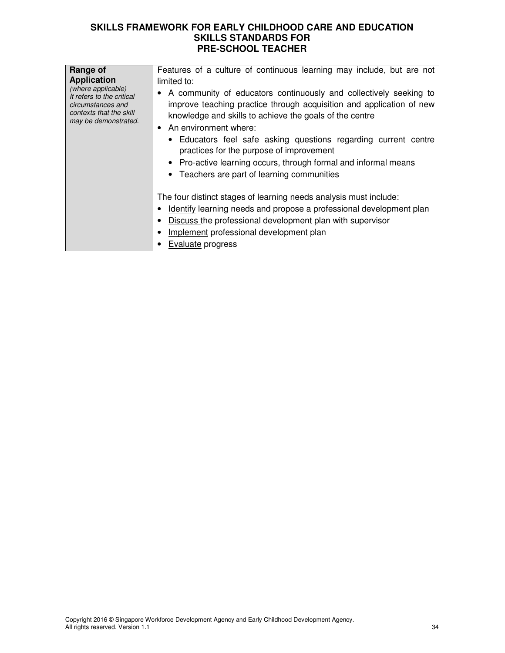| Range of                                                                                                                                      | Features of a culture of continuous learning may include, but are not                                                                                                                                                                                                                                                                                                                                                                                                                     |
|-----------------------------------------------------------------------------------------------------------------------------------------------|-------------------------------------------------------------------------------------------------------------------------------------------------------------------------------------------------------------------------------------------------------------------------------------------------------------------------------------------------------------------------------------------------------------------------------------------------------------------------------------------|
| <b>Application</b><br>(where applicable)<br>It refers to the critical<br>circumstances and<br>contexts that the skill<br>may be demonstrated. | limited to:<br>• A community of educators continuously and collectively seeking to<br>improve teaching practice through acquisition and application of new<br>knowledge and skills to achieve the goals of the centre<br>$\bullet$ An environment where:<br>• Educators feel safe asking questions regarding current centre<br>practices for the purpose of improvement<br>• Pro-active learning occurs, through formal and informal means<br>• Teachers are part of learning communities |
|                                                                                                                                               | The four distinct stages of learning needs analysis must include:<br>Identify learning needs and propose a professional development plan<br>Discuss the professional development plan with supervisor<br>Implement professional development plan<br><b>Evaluate progress</b>                                                                                                                                                                                                              |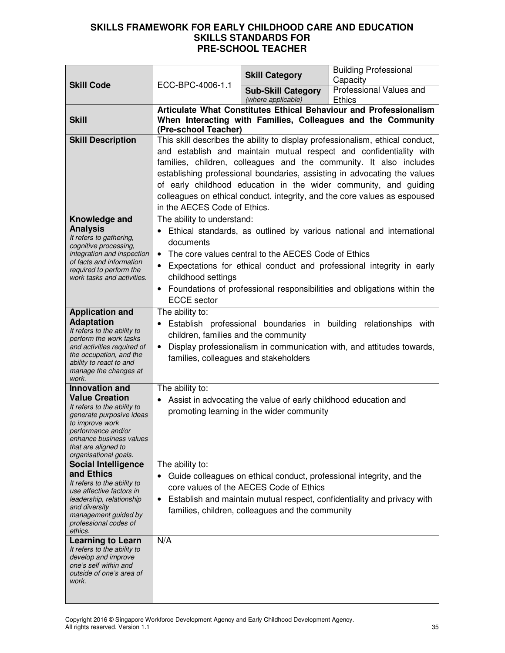| <b>Skill Code</b>                                                                                                                                                                                                             | ECC-BPC-4006-1.1                                                                                                                                                                                                                                                                                                                                                                                                                                                                       | <b>Skill Category</b>                                                                                        | <b>Building Professional</b><br>Capacity                                                                                                        |
|-------------------------------------------------------------------------------------------------------------------------------------------------------------------------------------------------------------------------------|----------------------------------------------------------------------------------------------------------------------------------------------------------------------------------------------------------------------------------------------------------------------------------------------------------------------------------------------------------------------------------------------------------------------------------------------------------------------------------------|--------------------------------------------------------------------------------------------------------------|-------------------------------------------------------------------------------------------------------------------------------------------------|
|                                                                                                                                                                                                                               |                                                                                                                                                                                                                                                                                                                                                                                                                                                                                        | <b>Sub-Skill Category</b><br>(where applicable)                                                              | Professional Values and<br><b>Ethics</b>                                                                                                        |
| <b>Skill</b>                                                                                                                                                                                                                  | (Pre-school Teacher)                                                                                                                                                                                                                                                                                                                                                                                                                                                                   |                                                                                                              | Articulate What Constitutes Ethical Behaviour and Professionalism<br>When Interacting with Families, Colleagues and the Community               |
| <b>Skill Description</b>                                                                                                                                                                                                      | This skill describes the ability to display professionalism, ethical conduct,<br>and establish and maintain mutual respect and confidentiality with<br>families, children, colleagues and the community. It also includes<br>establishing professional boundaries, assisting in advocating the values<br>of early childhood education in the wider community, and guiding<br>colleagues on ethical conduct, integrity, and the core values as espoused<br>in the AECES Code of Ethics. |                                                                                                              |                                                                                                                                                 |
| Knowledge and<br><b>Analysis</b><br>It refers to gathering,<br>cognitive processing,<br>integration and inspection<br>of facts and information<br>required to perform the<br>work tasks and activities.                       | The ability to understand:<br>Ethical standards, as outlined by various national and international<br>documents<br>The core values central to the AECES Code of Ethics<br>Expectations for ethical conduct and professional integrity in early<br>$\bullet$<br>childhood settings<br>• Foundations of professional responsibilities and obligations within the<br><b>ECCE</b> sector                                                                                                   |                                                                                                              |                                                                                                                                                 |
| <b>Application and</b><br><b>Adaptation</b><br>It refers to the ability to<br>perform the work tasks<br>and activities required of<br>the occupation, and the<br>ability to react to and<br>manage the changes at<br>work.    | The ability to:<br>Establish professional boundaries in building<br>relationships with<br>$\bullet$<br>children, families and the community<br>Display professionalism in communication with, and attitudes towards,<br>families, colleagues and stakeholders                                                                                                                                                                                                                          |                                                                                                              |                                                                                                                                                 |
| <b>Innovation and</b><br><b>Value Creation</b><br>It refers to the ability to<br>generate purposive ideas<br>to improve work<br>performance and/or<br>enhance business values<br>that are aligned to<br>organisational goals. | The ability to:                                                                                                                                                                                                                                                                                                                                                                                                                                                                        | Assist in advocating the value of early childhood education and<br>promoting learning in the wider community |                                                                                                                                                 |
| <b>Social Intelligence</b><br>and Ethics<br>It refers to the ability to<br>use affective factors in<br>leadership, relationship<br>and diversity<br>management guided by<br>professional codes of<br>ethics.                  | The ability to:<br>$\bullet$<br>$\bullet$                                                                                                                                                                                                                                                                                                                                                                                                                                              | core values of the AECES Code of Ethics<br>families, children, colleagues and the community                  | Guide colleagues on ethical conduct, professional integrity, and the<br>Establish and maintain mutual respect, confidentiality and privacy with |
| <b>Learning to Learn</b><br>It refers to the ability to<br>develop and improve<br>one's self within and<br>outside of one's area of<br>work.                                                                                  | N/A                                                                                                                                                                                                                                                                                                                                                                                                                                                                                    |                                                                                                              |                                                                                                                                                 |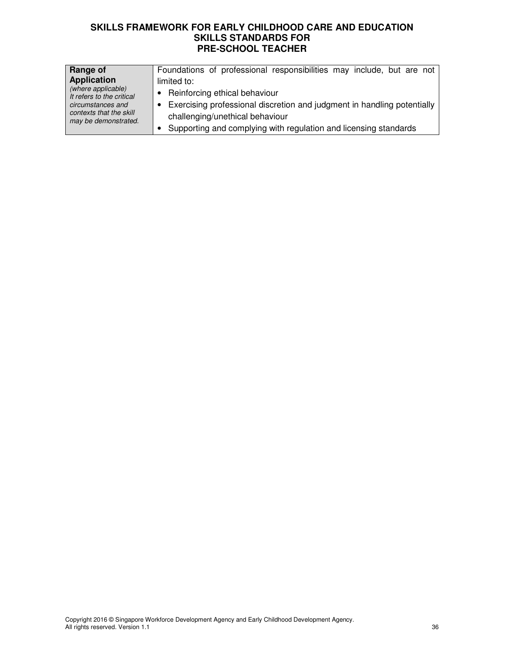| Range of                                        | Foundations of professional responsibilities may include, but are not   |
|-------------------------------------------------|-------------------------------------------------------------------------|
| <b>Application</b>                              | limited to:                                                             |
| (where applicable)<br>It refers to the critical | Reinforcing ethical behaviour<br>$\bullet$                              |
| circumstances and                               | Exercising professional discretion and judgment in handling potentially |
| contexts that the skill<br>may be demonstrated. | challenging/unethical behaviour                                         |
|                                                 | Supporting and complying with regulation and licensing standards        |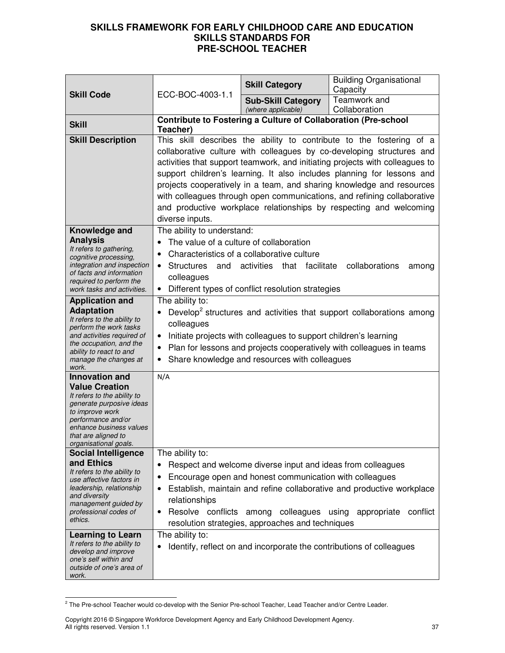|                                                                                                                                                                                                                               | ECC-BOC-4003-1.1                                                                                                                                                                                                                                                                                                                                                                                                                                                                                                                                     | <b>Skill Category</b>                                                                                                                                                                                                              | <b>Building Organisational</b><br>Capacity                                        |
|-------------------------------------------------------------------------------------------------------------------------------------------------------------------------------------------------------------------------------|------------------------------------------------------------------------------------------------------------------------------------------------------------------------------------------------------------------------------------------------------------------------------------------------------------------------------------------------------------------------------------------------------------------------------------------------------------------------------------------------------------------------------------------------------|------------------------------------------------------------------------------------------------------------------------------------------------------------------------------------------------------------------------------------|-----------------------------------------------------------------------------------|
| <b>Skill Code</b>                                                                                                                                                                                                             |                                                                                                                                                                                                                                                                                                                                                                                                                                                                                                                                                      | <b>Sub-Skill Category</b><br>(where applicable)                                                                                                                                                                                    | Teamwork and<br>Collaboration                                                     |
| <b>Skill</b>                                                                                                                                                                                                                  | Teacher)                                                                                                                                                                                                                                                                                                                                                                                                                                                                                                                                             | <b>Contribute to Fostering a Culture of Collaboration (Pre-school</b>                                                                                                                                                              |                                                                                   |
| <b>Skill Description</b>                                                                                                                                                                                                      | This skill describes the ability to contribute to the fostering of a<br>collaborative culture with colleagues by co-developing structures and<br>activities that support teamwork, and initiating projects with colleagues to<br>support children's learning. It also includes planning for lessons and<br>projects cooperatively in a team, and sharing knowledge and resources<br>with colleagues through open communications, and refining collaborative<br>and productive workplace relationships by respecting and welcoming<br>diverse inputs. |                                                                                                                                                                                                                                    |                                                                                   |
| Knowledge and<br><b>Analysis</b><br>It refers to gathering,<br>cognitive processing,<br>integration and inspection<br>of facts and information<br>required to perform the<br>work tasks and activities.                       | The ability to understand:<br>The value of a culture of collaboration<br>$\bullet$<br><b>Structures</b><br>and<br>$\bullet$<br>colleagues<br>$\bullet$                                                                                                                                                                                                                                                                                                                                                                                               | Characteristics of a collaborative culture<br>activities that facilitate collaborations<br>Different types of conflict resolution strategies                                                                                       | among                                                                             |
| <b>Application and</b><br><b>Adaptation</b><br>It refers to the ability to<br>perform the work tasks<br>and activities required of<br>the occupation, and the<br>ability to react to and<br>manage the changes at<br>work.    | The ability to:<br>Develop <sup>2</sup> structures and activities that support collaborations among<br>colleagues<br>Initiate projects with colleagues to support children's learning<br>$\bullet$<br>Plan for lessons and projects cooperatively with colleagues in teams<br>$\bullet$<br>Share knowledge and resources with colleagues                                                                                                                                                                                                             |                                                                                                                                                                                                                                    |                                                                                   |
| <b>Innovation and</b><br><b>Value Creation</b><br>It refers to the ability to<br>generate purposive ideas<br>to improve work<br>performance and/or<br>enhance business values<br>that are aligned to<br>organisational goals. | N/A                                                                                                                                                                                                                                                                                                                                                                                                                                                                                                                                                  |                                                                                                                                                                                                                                    |                                                                                   |
| <b>Social Intelligence</b><br>and Ethics<br>It refers to the ability to<br>use affective factors in<br>leadership, relationship<br>and diversity<br>management guided by<br>professional codes of<br>ethics.                  | The ability to:<br>$\bullet$<br>٠<br>٠<br>relationships<br>$\bullet$                                                                                                                                                                                                                                                                                                                                                                                                                                                                                 | Respect and welcome diverse input and ideas from colleagues<br>Encourage open and honest communication with colleagues<br>Resolve conflicts among colleagues using appropriate<br>resolution strategies, approaches and techniques | Establish, maintain and refine collaborative and productive workplace<br>conflict |
| <b>Learning to Learn</b><br>It refers to the ability to<br>develop and improve<br>one's self within and<br>outside of one's area of<br>work.                                                                                  | The ability to:<br>٠                                                                                                                                                                                                                                                                                                                                                                                                                                                                                                                                 |                                                                                                                                                                                                                                    | Identify, reflect on and incorporate the contributions of colleagues              |

 2 The Pre-school Teacher would co-develop with the Senior Pre-school Teacher, Lead Teacher and/or Centre Leader.

Copyright 2016 © Singapore Workforce Development Agency and Early Childhood Development Agency. All rights reserved. Version 1.1 37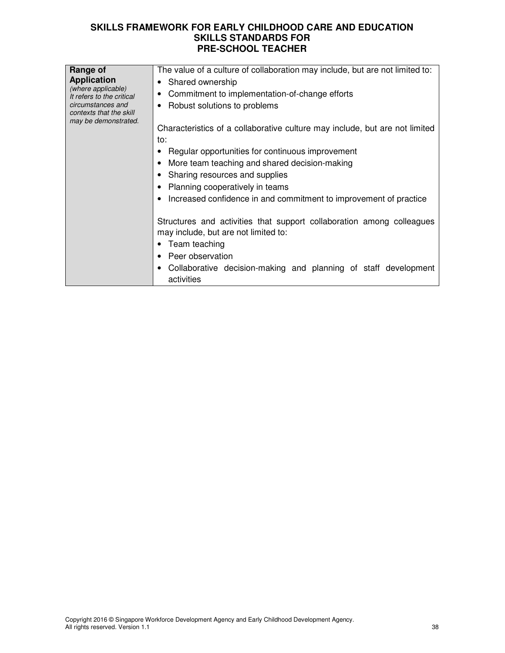| Range of<br><b>Application</b><br>(where applicable)<br>It refers to the critical<br>circumstances and<br>contexts that the skill<br>may be demonstrated. | The value of a culture of collaboration may include, but are not limited to:<br>• Shared ownership<br>Commitment to implementation-of-change efforts<br>Robust solutions to problems<br>Characteristics of a collaborative culture may include, but are not limited<br>to:<br>Regular opportunities for continuous improvement<br>More team teaching and shared decision-making<br>• Sharing resources and supplies<br>• Planning cooperatively in teams<br>Increased confidence in and commitment to improvement of practice<br>Structures and activities that support collaboration among colleagues<br>may include, but are not limited to: |
|-----------------------------------------------------------------------------------------------------------------------------------------------------------|------------------------------------------------------------------------------------------------------------------------------------------------------------------------------------------------------------------------------------------------------------------------------------------------------------------------------------------------------------------------------------------------------------------------------------------------------------------------------------------------------------------------------------------------------------------------------------------------------------------------------------------------|
|                                                                                                                                                           |                                                                                                                                                                                                                                                                                                                                                                                                                                                                                                                                                                                                                                                |
|                                                                                                                                                           | • Team teaching<br>Peer observation                                                                                                                                                                                                                                                                                                                                                                                                                                                                                                                                                                                                            |
|                                                                                                                                                           | Collaborative decision-making and planning of staff development<br>activities                                                                                                                                                                                                                                                                                                                                                                                                                                                                                                                                                                  |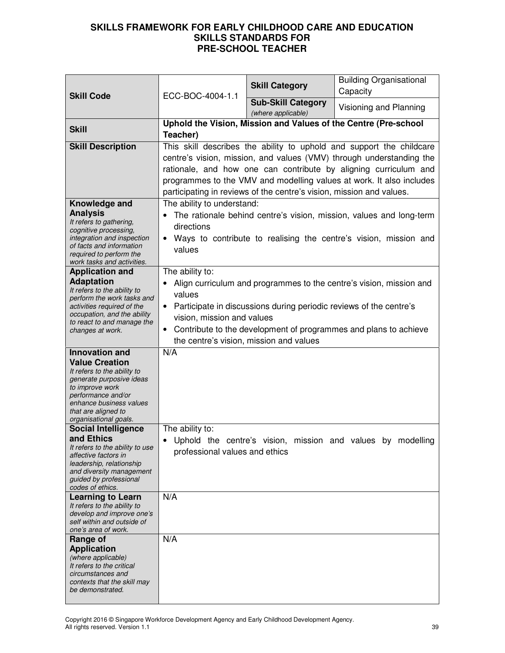| <b>Skill Code</b>                                                                                                                                                                                                                                                                                      | ECC-BOC-4004-1.1                                                     | <b>Skill Category</b>                                                                                         | <b>Building Organisational</b><br>Capacity                                                                                                                                                                                                                                               |
|--------------------------------------------------------------------------------------------------------------------------------------------------------------------------------------------------------------------------------------------------------------------------------------------------------|----------------------------------------------------------------------|---------------------------------------------------------------------------------------------------------------|------------------------------------------------------------------------------------------------------------------------------------------------------------------------------------------------------------------------------------------------------------------------------------------|
|                                                                                                                                                                                                                                                                                                        |                                                                      | <b>Sub-Skill Category</b><br>(where applicable)                                                               | Visioning and Planning                                                                                                                                                                                                                                                                   |
| <b>Skill</b>                                                                                                                                                                                                                                                                                           | Teacher)                                                             |                                                                                                               | Uphold the Vision, Mission and Values of the Centre (Pre-school                                                                                                                                                                                                                          |
| <b>Skill Description</b>                                                                                                                                                                                                                                                                               |                                                                      | participating in reviews of the centre's vision, mission and values.                                          | This skill describes the ability to uphold and support the childcare<br>centre's vision, mission, and values (VMV) through understanding the<br>rationale, and how one can contribute by aligning curriculum and<br>programmes to the VMV and modelling values at work. It also includes |
| Knowledge and<br><b>Analysis</b><br>It refers to gathering,<br>cognitive processing,<br>integration and inspection<br>of facts and information<br>required to perform the<br>work tasks and activities.                                                                                                | The ability to understand:<br>directions<br>$\bullet$<br>values      |                                                                                                               | The rationale behind centre's vision, mission, values and long-term<br>Ways to contribute to realising the centre's vision, mission and                                                                                                                                                  |
| <b>Application and</b><br><b>Adaptation</b><br>It refers to the ability to<br>perform the work tasks and<br>activities required of the<br>occupation, and the ability<br>to react to and manage the<br>changes at work.                                                                                | The ability to:<br>values<br>$\bullet$<br>vision, mission and values | Participate in discussions during periodic reviews of the centre's<br>the centre's vision, mission and values | Align curriculum and programmes to the centre's vision, mission and<br>Contribute to the development of programmes and plans to achieve                                                                                                                                                  |
| <b>Innovation and</b><br><b>Value Creation</b><br>It refers to the ability to<br>generate purposive ideas<br>to improve work<br>performance and/or<br>enhance business values<br>that are aligned to<br>organisational goals.<br><b>Social Intelligence</b>                                            | N/A<br>The ability to:                                               |                                                                                                               |                                                                                                                                                                                                                                                                                          |
| and Ethics<br>It refers to the ability to use<br>affective factors in<br>leadership, relationship<br>and diversity management<br>guided by professional<br>codes of ethics.                                                                                                                            | • Uphold the centre's vision.<br>professional values and ethics      |                                                                                                               | mission and values by modelling                                                                                                                                                                                                                                                          |
| <b>Learning to Learn</b><br>It refers to the ability to<br>develop and improve one's<br>self within and outside of<br>one's area of work.<br>Range of<br><b>Application</b><br>(where applicable)<br>It refers to the critical<br>circumstances and<br>contexts that the skill may<br>be demonstrated. | N/A<br>N/A                                                           |                                                                                                               |                                                                                                                                                                                                                                                                                          |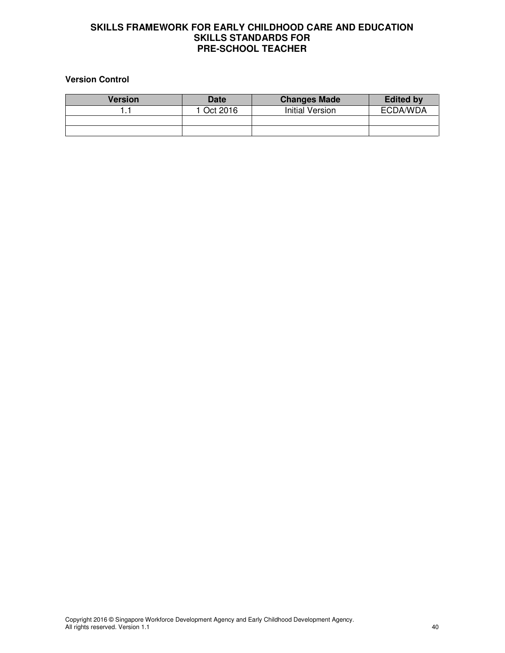### **Version Control**

| <b>Version</b> | Date     | <b>Changes Made</b>    | <b>Edited by</b> |
|----------------|----------|------------------------|------------------|
|                | Oct 2016 | <b>Initial Version</b> | ECDA/WDA         |
|                |          |                        |                  |
|                |          |                        |                  |